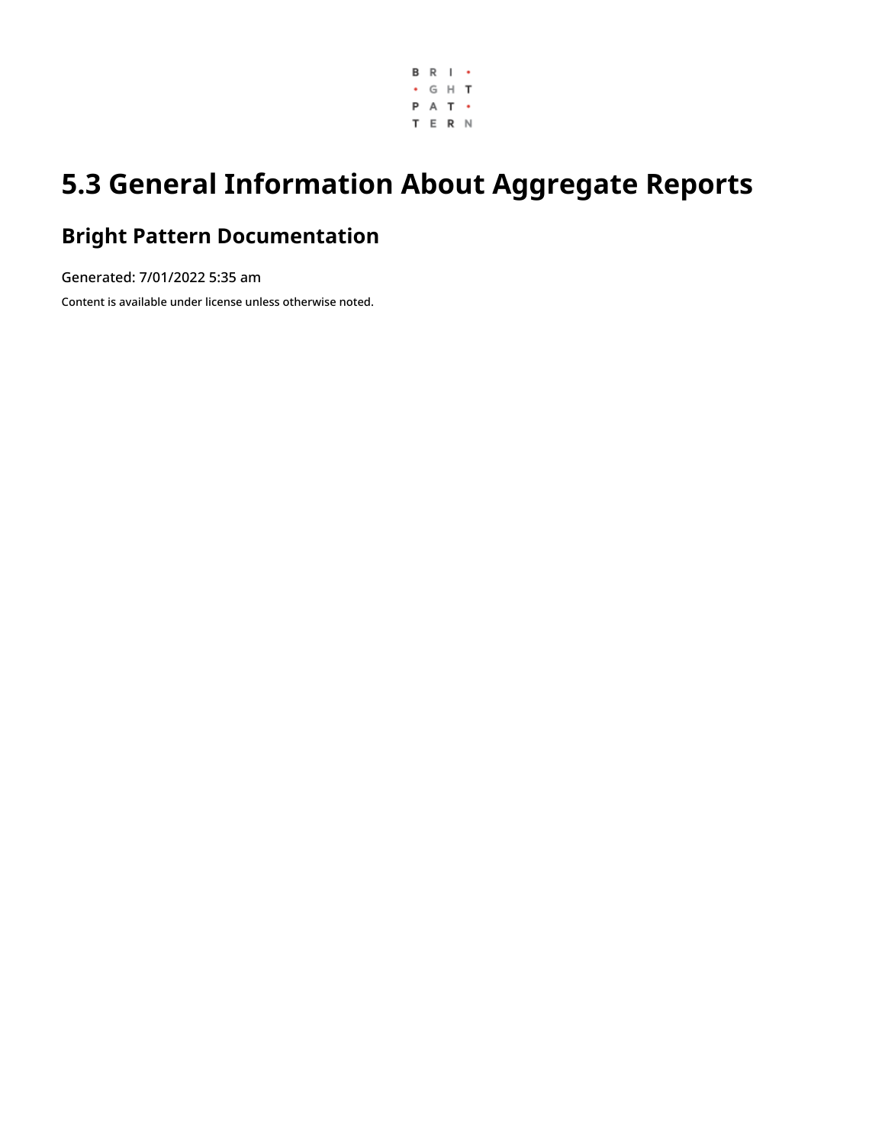

# **5.3 General Information About Aggregate Reports**

## **Bright Pattern Documentation**

Generated: 7/01/2022 5:35 am

Content is available under license unless otherwise noted.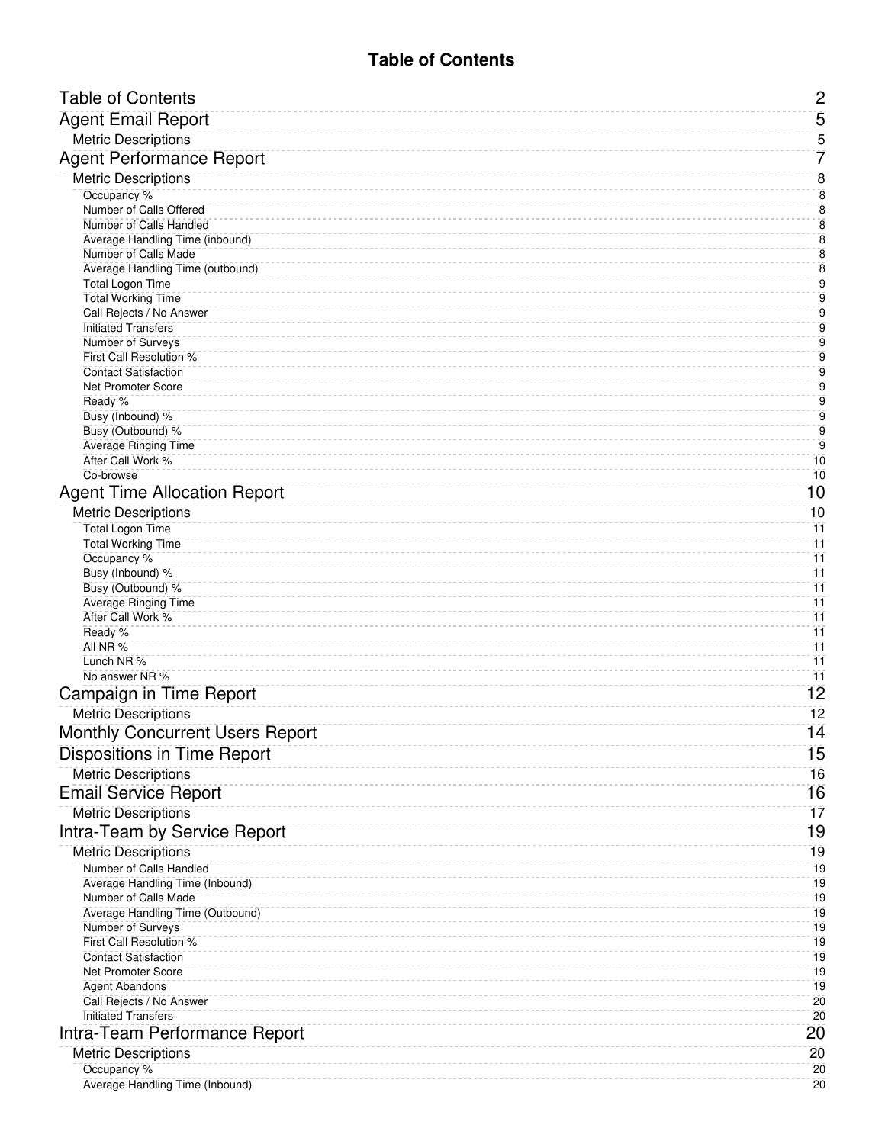<span id="page-1-0"></span>

| <b>Table of Contents</b>                                   | $\mathbf{2}$            |
|------------------------------------------------------------|-------------------------|
| <b>Agent Email Report</b>                                  | 5                       |
| <b>Metric Descriptions</b>                                 | 5                       |
| <b>Agent Performance Report</b>                            | 7                       |
| <b>Metric Descriptions</b>                                 | $\overline{8}$          |
| Occupancy %                                                | $\overline{8}$          |
| Number of Calls Offered                                    | $\overline{\mathbf{8}}$ |
| Number of Calls Handled<br>Average Handling Time (inbound) | $\bf 8$<br>8            |
| Number of Calls Made                                       | 8                       |
| Average Handling Time (outbound)                           | $\bf 8$                 |
| <b>Total Logon Time</b><br><b>Total Working Time</b>       | 9<br>9                  |
| Call Rejects / No Answer                                   | 9                       |
| <b>Initiated Transfers</b>                                 | 9                       |
| Number of Surveys                                          | 9                       |
| First Call Resolution %<br><b>Contact Satisfaction</b>     | 9<br>$\overline{9}$     |
| Net Promoter Score                                         | $\overline{9}$          |
| Ready %                                                    | 9                       |
| Busy (Inbound) %<br>Busy (Outbound) %                      | $\overline{9}$<br>9     |
| <b>Average Ringing Time</b>                                | $\overline{9}$          |
| After Call Work %                                          | 10                      |
| Co-browse                                                  | 10                      |
| <b>Agent Time Allocation Report</b>                        | 10                      |
| <b>Metric Descriptions</b>                                 | 10                      |
| <b>Total Logon Time</b><br><b>Total Working Time</b>       | 11<br>$\overline{11}$   |
| Occupancy %                                                | $\overline{11}$         |
| Busy (Inbound) %                                           | 11                      |
| Busy (Outbound) %                                          | 11<br>11                |
| <b>Average Ringing Time</b><br>After Call Work %           | $\overline{11}$         |
| Ready %                                                    | $\overline{11}$         |
| All NR %                                                   | 11                      |
| Lunch NR %<br>No answer NR %                               | 11<br>11                |
| Campaign in Time Report                                    | 12                      |
| <b>Metric Descriptions</b>                                 | 12                      |
| <b>Monthly Concurrent Users Report</b>                     | 14                      |
| Dispositions in Time Report                                | 15                      |
| <b>Metric Descriptions</b>                                 | 16                      |
| <b>Email Service Report</b>                                | 16                      |
| <b>Metric Descriptions</b>                                 | $\overline{17}$         |
|                                                            | 19                      |
| Intra-Team by Service Report                               | 19                      |
| <b>Metric Descriptions</b><br>Number of Calls Handled      | 19                      |
| Average Handling Time (Inbound)                            | 19                      |
| Number of Calls Made                                       | 19                      |
| Average Handling Time (Outbound)                           | 19<br>19                |
| Number of Surveys<br>First Call Resolution %               | 19                      |
| <b>Contact Satisfaction</b>                                | 19                      |
| <b>Net Promoter Score</b>                                  | 19                      |
| <b>Agent Abandons</b><br>Call Rejects / No Answer          | 19<br>20                |
| <b>Initiated Transfers</b>                                 | 20                      |
| Intra-Team Performance Report                              | 20                      |
| <b>Metric Descriptions</b>                                 | 20                      |
| Occupancy %                                                | 20                      |
| Average Handling Time (Inbound)                            | 20                      |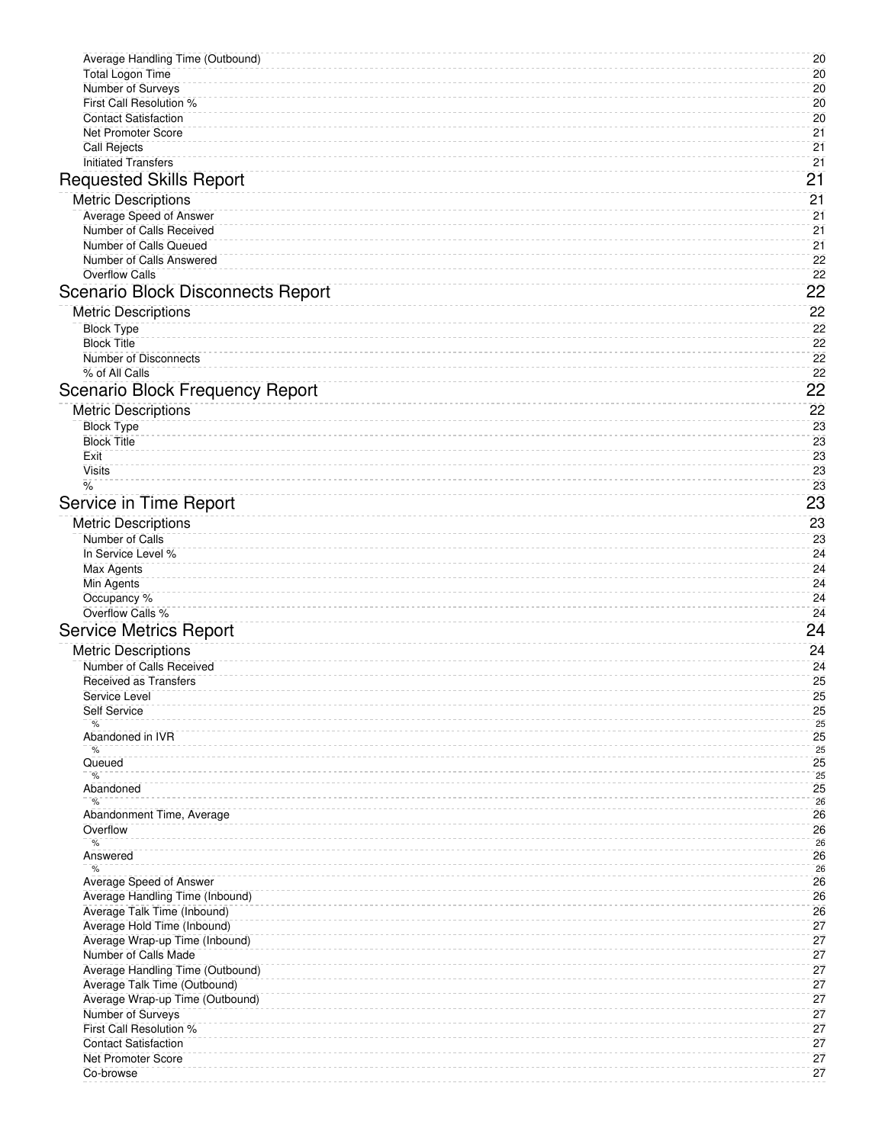| Average Handling Time (Outbound)<br><b>Total Logon Time</b>     | 20<br>20 |
|-----------------------------------------------------------------|----------|
| Number of Surveys                                               | 20       |
| First Call Resolution %                                         | 20       |
| <b>Contact Satisfaction</b>                                     | 20       |
| <b>Net Promoter Score</b><br><b>Call Rejects</b>                | 21<br>21 |
| <b>Initiated Transfers</b>                                      | 21       |
| <b>Requested Skills Report</b>                                  | 21       |
| <b>Metric Descriptions</b>                                      | 21       |
| Average Speed of Answer                                         | 21       |
| Number of Calls Received<br>Number of Calls Queued              | 21<br>21 |
| Number of Calls Answered                                        | 22       |
| <b>Overflow Calls</b>                                           | 22       |
| <b>Scenario Block Disconnects Report</b>                        | 22       |
| <b>Metric Descriptions</b>                                      | 22       |
| <b>Block Type</b><br><b>Block Title</b>                         | 22<br>22 |
| Number of Disconnects                                           | 22       |
| % of All Calls                                                  | 22       |
| <b>Scenario Block Frequency Report</b>                          | 22       |
| <b>Metric Descriptions</b>                                      | 22       |
| <b>Block Type</b><br><b>Block Title</b>                         | 23<br>23 |
| Exit                                                            | 23       |
| <b>Visits</b>                                                   | 23       |
| $\frac{9}{6}$                                                   | 23<br>23 |
| Service in Time Report                                          |          |
| <b>Metric Descriptions</b><br>Number of Calls                   | 23<br>23 |
| In Service Level %                                              | 24       |
| Max Agents                                                      | 24       |
| Min Agents<br>Occupancy %                                       | 24<br>24 |
| Overflow Calls %                                                | 24       |
| <b>Service Metrics Report</b>                                   | 24       |
| <b>Metric Descriptions</b>                                      | 24       |
| Number of Calls Received<br><b>Received as Transfers</b>        | 24<br>25 |
| Service Level                                                   | 25       |
| Self Service                                                    | 25       |
| %<br>Abandoned in IVR                                           | 25<br>25 |
| %                                                               | 25       |
| Queued<br>$\%$                                                  | 25<br>25 |
| Abandoned<br>%                                                  | 25<br>26 |
| Abandonment Time, Average                                       | 26       |
| Overflow<br>%                                                   | 26<br>26 |
| Answered                                                        | 26       |
| $\%$<br>Average Speed of Answer                                 | 26<br>26 |
| Average Handling Time (Inbound)                                 | 26       |
| Average Talk Time (Inbound)                                     | 26       |
| Average Hold Time (Inbound)<br>Average Wrap-up Time (Inbound)   | 27<br>27 |
| Number of Calls Made                                            | 27       |
| Average Handling Time (Outbound)                                | 27       |
| Average Talk Time (Outbound)<br>Average Wrap-up Time (Outbound) | 27<br>27 |
| Number of Surveys                                               | 27       |
| First Call Resolution %                                         | 27       |
| <b>Contact Satisfaction</b><br><b>Net Promoter Score</b>        | 27<br>27 |
| Co-browse                                                       | 27       |
|                                                                 |          |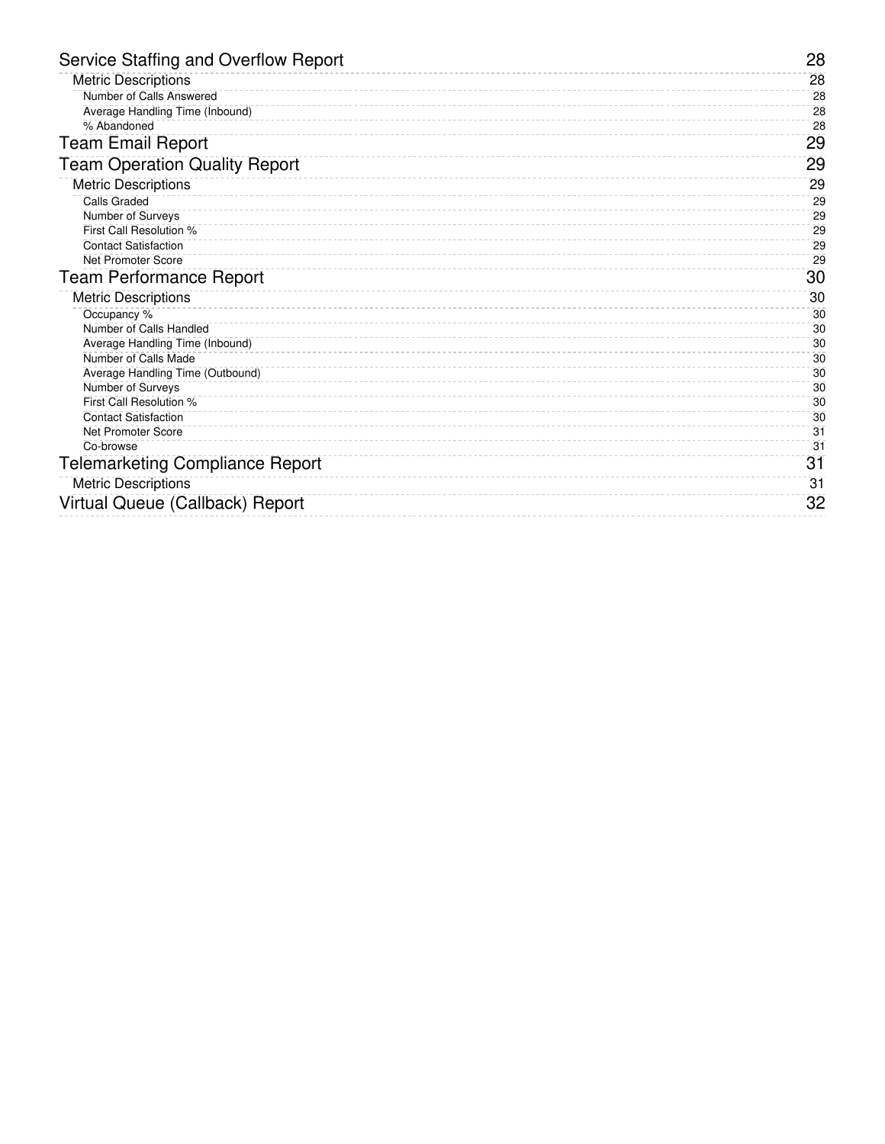| <b>Metric Descriptions</b><br>28<br>Number of Calls Answered<br>28<br>28<br>Average Handling Time (Inbound)<br>28<br>% Abandoned<br><b>Team Email Report</b><br>29<br><b>Team Operation Quality Report</b><br>29<br><b>Metric Descriptions</b><br>29<br><b>Calls Graded</b><br>29<br>Number of Surveys<br>29<br>First Call Resolution %<br>29<br>29<br><b>Contact Satisfaction</b><br>29<br><b>Net Promoter Score</b><br>30<br><b>Team Performance Report</b><br><b>Metric Descriptions</b><br>30<br>Occupancy %<br>30 | 28 |
|------------------------------------------------------------------------------------------------------------------------------------------------------------------------------------------------------------------------------------------------------------------------------------------------------------------------------------------------------------------------------------------------------------------------------------------------------------------------------------------------------------------------|----|
|                                                                                                                                                                                                                                                                                                                                                                                                                                                                                                                        |    |
|                                                                                                                                                                                                                                                                                                                                                                                                                                                                                                                        |    |
|                                                                                                                                                                                                                                                                                                                                                                                                                                                                                                                        |    |
|                                                                                                                                                                                                                                                                                                                                                                                                                                                                                                                        |    |
|                                                                                                                                                                                                                                                                                                                                                                                                                                                                                                                        |    |
|                                                                                                                                                                                                                                                                                                                                                                                                                                                                                                                        |    |
|                                                                                                                                                                                                                                                                                                                                                                                                                                                                                                                        |    |
|                                                                                                                                                                                                                                                                                                                                                                                                                                                                                                                        |    |
|                                                                                                                                                                                                                                                                                                                                                                                                                                                                                                                        |    |
|                                                                                                                                                                                                                                                                                                                                                                                                                                                                                                                        |    |
|                                                                                                                                                                                                                                                                                                                                                                                                                                                                                                                        |    |
|                                                                                                                                                                                                                                                                                                                                                                                                                                                                                                                        |    |
|                                                                                                                                                                                                                                                                                                                                                                                                                                                                                                                        |    |
|                                                                                                                                                                                                                                                                                                                                                                                                                                                                                                                        |    |
|                                                                                                                                                                                                                                                                                                                                                                                                                                                                                                                        |    |
| Number of Calls Handled<br>30                                                                                                                                                                                                                                                                                                                                                                                                                                                                                          |    |
| Average Handling Time (Inbound)<br>30                                                                                                                                                                                                                                                                                                                                                                                                                                                                                  |    |
| Number of Calls Made<br>30                                                                                                                                                                                                                                                                                                                                                                                                                                                                                             |    |
| Average Handling Time (Outbound)<br>30                                                                                                                                                                                                                                                                                                                                                                                                                                                                                 |    |
| Number of Surveys<br>30                                                                                                                                                                                                                                                                                                                                                                                                                                                                                                |    |
| First Call Resolution %<br>30                                                                                                                                                                                                                                                                                                                                                                                                                                                                                          |    |
| <b>Contact Satisfaction</b><br>30                                                                                                                                                                                                                                                                                                                                                                                                                                                                                      |    |
| 31<br><b>Net Promoter Score</b><br>31<br>Co-browse                                                                                                                                                                                                                                                                                                                                                                                                                                                                     |    |
|                                                                                                                                                                                                                                                                                                                                                                                                                                                                                                                        |    |
| 31<br><b>Telemarketing Compliance Report</b>                                                                                                                                                                                                                                                                                                                                                                                                                                                                           |    |
| <b>Metric Descriptions</b><br>31                                                                                                                                                                                                                                                                                                                                                                                                                                                                                       |    |
| Virtual Queue (Callback) Report<br>32                                                                                                                                                                                                                                                                                                                                                                                                                                                                                  |    |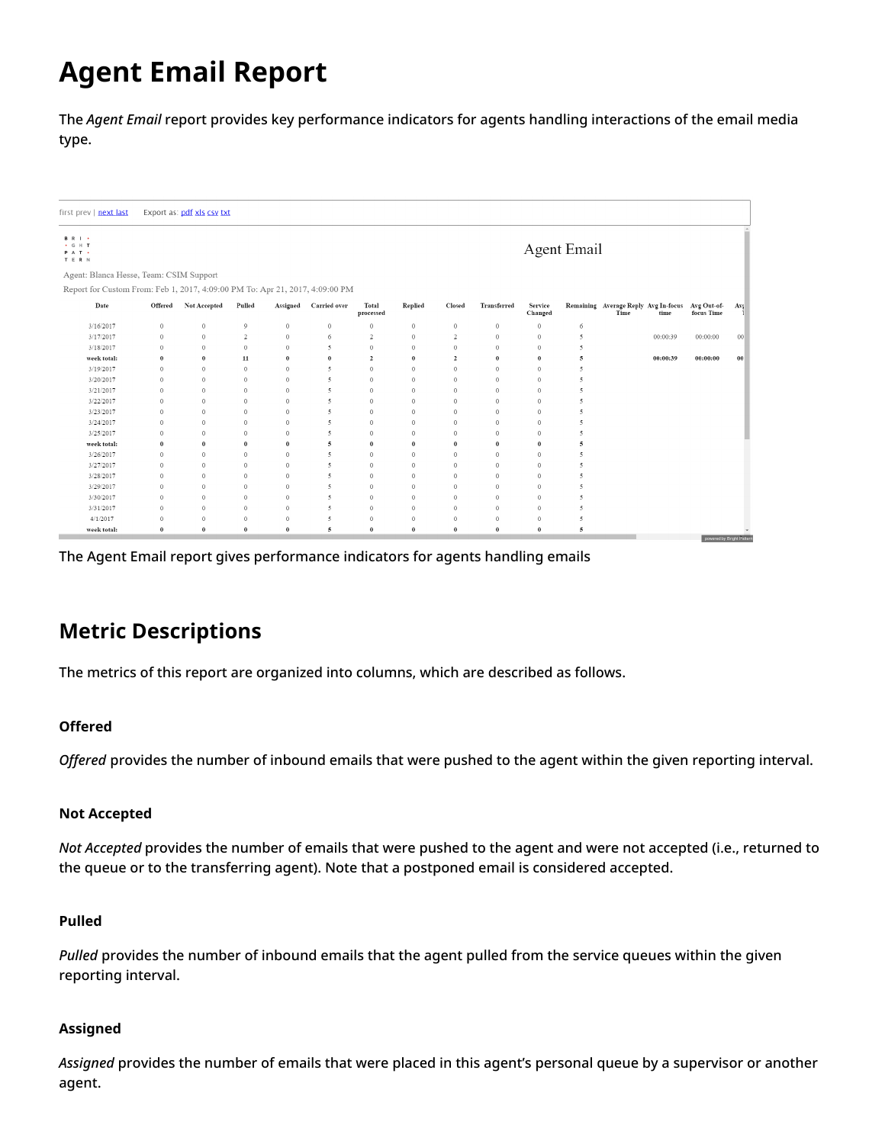# <span id="page-4-0"></span>**Agent Email Report**

The *Agent Email* report provides key performance indicators for agents handling interactions of the email media type.

| irst prev   next last                                                        |              | Export as: pdf xls csv txt |                |              |                          |                    |              |                |              |                    |                      |                                              |          |                                  |                 |
|------------------------------------------------------------------------------|--------------|----------------------------|----------------|--------------|--------------------------|--------------------|--------------|----------------|--------------|--------------------|----------------------|----------------------------------------------|----------|----------------------------------|-----------------|
| <b>B</b> R I .<br>$\cdot$ G H T<br>PAT .<br>T E R N                          |              |                            |                |              |                          |                    |              |                |              |                    | <b>Agent Email</b>   |                                              |          |                                  |                 |
| Agent: Blanca Hesse, Team: CSIM Support                                      |              |                            |                |              |                          |                    |              |                |              |                    |                      |                                              |          |                                  |                 |
| Report for Custom From: Feb 1, 2017, 4:09:00 PM To: Apr 21, 2017, 4:09:00 PM |              |                            |                |              |                          |                    |              |                |              |                    |                      |                                              |          |                                  |                 |
| Date                                                                         | Offered      | Not Accepted               | Pulled         | Assigned     | Carried over             | Total<br>processed | Replied      | Closed         | Transferred  | Service<br>Changed |                      | Remaining Average Reply Avg In-focus<br>Time | time     | Avg Out-of-<br>focus Time        | Avs             |
| 3/16/2017                                                                    | $\sqrt{0}$   | $\mathbf{0}$               | 9              | $\theta$     | $\mathbf{0}$             | $\circ$            | $\mathbf{0}$ | $\theta$       | $\theta$     | $\theta$           | 6                    |                                              |          |                                  |                 |
| 3/17/2017                                                                    | $\mathbf{0}$ | $\circ$                    | $\overline{2}$ | $\mathbf{0}$ | 6                        | $\overline{2}$     | $\mathbf 0$  | $\overline{2}$ | $\mathbf 0$  | $\theta$           | $\sim$               |                                              | 00:00:39 | 00:00:00                         | 00 <sup>1</sup> |
| 3/18/2017                                                                    | $\mathbf{0}$ | $\mathbf{0}$               | $\mathbf{0}$   | $\mathbf{0}$ | 5                        | $\mathbf{0}$       | $\mathbf{0}$ | $\theta$       | $\mathbf{0}$ | $\theta$           | 5                    |                                              |          |                                  |                 |
| week total:                                                                  | $\theta$     | $\theta$                   | 11             | $\bf{0}$     | $\theta$                 | $\overline{2}$     | $\theta$     | $\overline{2}$ | $\theta$     | $\theta$           | 5                    |                                              | 00:00:39 | 00:00:00                         | 00 <sup>°</sup> |
| 3/19/2017                                                                    | $\theta$     | $\mathbf{0}$               | $\mathbf{0}$   | $\mathbf{0}$ | 5                        | $\circ$            | $\mathbf{0}$ | $\mathbf{0}$   | $\theta$     | $\theta$           | 5                    |                                              |          |                                  |                 |
| 3/20/2017                                                                    | $\theta$     | $\mathbf{0}$               | $\mathbf{0}$   | $\mathbf{0}$ | 5                        | $\mathbf{0}$       | $\mathbf{0}$ | $\theta$       | $\mathbf{0}$ | $\mathbf{0}$       | 5                    |                                              |          |                                  |                 |
| 3/21/2017                                                                    | $\Omega$     | $\mathbf{0}$               | $\theta$       | $\mathbf{0}$ | 5                        | $\mathbf{0}$       | $\mathbf{0}$ | $\mathbf{0}$   | $\mathbf{0}$ | $\theta$           | $\ddot{\phantom{1}}$ |                                              |          |                                  |                 |
| 3/22/2017                                                                    | $\Omega$     | $\mathbf{0}$               | $\Omega$       | $\mathbf{0}$ | 5                        | $\theta$           | $\mathbf{0}$ | $\theta$       | $\theta$     | $\theta$           | 5                    |                                              |          |                                  |                 |
| 3/23/2017                                                                    | $\mathbf{0}$ | $\mathbf{0}$               | $\theta$       | $\mathbf{0}$ | 5                        | $\mathbf{0}$       | $\mathbf{0}$ | $\theta$       | $\theta$     | $\theta$           | 5                    |                                              |          |                                  |                 |
| 3/24/2017                                                                    | $\mathbf{0}$ | $\mathbf{0}$               | $\mathbf{0}$   | $\mathbf{0}$ | 5                        | $\mathbf{0}$       | $\mathbf{0}$ | $\circ$        | $\mathbf{0}$ | $\overline{0}$     | 5                    |                                              |          |                                  |                 |
| 3/25/2017                                                                    | $\mathbf{0}$ | $\mathbf{0}$               | $\Omega$       | $\mathbf{0}$ | 5                        | $\Omega$           | $\mathbf{0}$ | $\Omega$       | $\mathbf{0}$ | $\theta$           | 5                    |                                              |          |                                  |                 |
| week total:                                                                  | $\bf{0}$     | $\bf{0}$                   | $\theta$       | $\bf{0}$     | 5                        | $\bf{0}$           | $\bf{0}$     | $\theta$       | $\bf{0}$     | $\theta$           | 5                    |                                              |          |                                  |                 |
| 3/26/2017                                                                    | $\mathbf{0}$ | $\mathbf{0}$               | $\theta$       | $\mathbf{0}$ | 5                        | $\mathbf{0}$       | $\mathbf{0}$ | $\theta$       | $\theta$     | $\overline{0}$     | 5                    |                                              |          |                                  |                 |
| 3/27/2017                                                                    | $\Omega$     | $\mathbf{0}$               | $\theta$       | $\mathbf{0}$ | 5                        | $\theta$           | $\mathbf{0}$ | $\mathbf{0}$   | $\mathbf 0$  | $\theta$           | 5                    |                                              |          |                                  |                 |
| 3/28/2017                                                                    | $\mathbf{0}$ | $\mathbf{0}$               | $\theta$       | $\mathbf{0}$ | 5                        | $\mathbf{0}$       | $\mathbf{0}$ | $\theta$       | $\theta$     | $\theta$           | 5                    |                                              |          |                                  |                 |
| 3/29/2017                                                                    | $\mathbf{0}$ | $\mathbf{0}$               | $\theta$       | $\mathbf{0}$ | $\overline{\phantom{a}}$ | $\mathbf{0}$       | $\mathbf{0}$ | $\theta$       | $\theta$     | $\theta$           | $\sim$               |                                              |          |                                  |                 |
| 3/30/2017                                                                    | $\mathbf{0}$ | $\mathbf{0}$               | $\mathbf{0}$   | $\mathbf 0$  | 5                        | $\mathbf{0}$       | $\mathbf{0}$ | $\mathbf{0}$   | $\mathbf 0$  | $\overline{0}$     | 5                    |                                              |          |                                  |                 |
| 3/31/2017                                                                    | $\mathbf{0}$ | $\mathbf{0}$               | $\theta$       | $\mathbf{0}$ | 5                        | $\mathbf{0}$       | $\mathbf{0}$ | $\theta$       | $\theta$     | $\theta$           | 5                    |                                              |          |                                  |                 |
| 4/1/2017                                                                     | $\theta$     | $\theta$                   | $\theta$       | $\theta$     | $\overline{\phantom{a}}$ | $\theta$           | $\mathbf{0}$ | $\Omega$       | $\theta$     | $\theta$           | 5                    |                                              |          |                                  |                 |
| week total:                                                                  | $\theta$     | $\bf{0}$                   | $\theta$       | $\bf{0}$     | 5                        | $\theta$           | $\theta$     | $\theta$       | $\bf{0}$     | $\theta$           | 5                    |                                              |          | <b>Downton By Bright Batters</b> |                 |

The Agent Email report gives performance indicators for agents handling emails

## <span id="page-4-1"></span>**Metric Descriptions**

The metrics of this report are organized into columns, which are described as follows.

### **Offered**

*Offered* provides the number of inbound emails that were pushed to the agent within the given reporting interval.

#### **Not Accepted**

*Not Accepted* provides the number of emails that were pushed to the agent and were not accepted (i.e., returned to the queue or to the transferring agent). Note that a postponed email is considered accepted.

#### **Pulled**

*Pulled* provides the number of inbound emails that the agent pulled from the service queues within the given reporting interval.

#### **Assigned**

*Assigned* provides the number of emails that were placed in this agent's personal queue by a supervisor or another agent.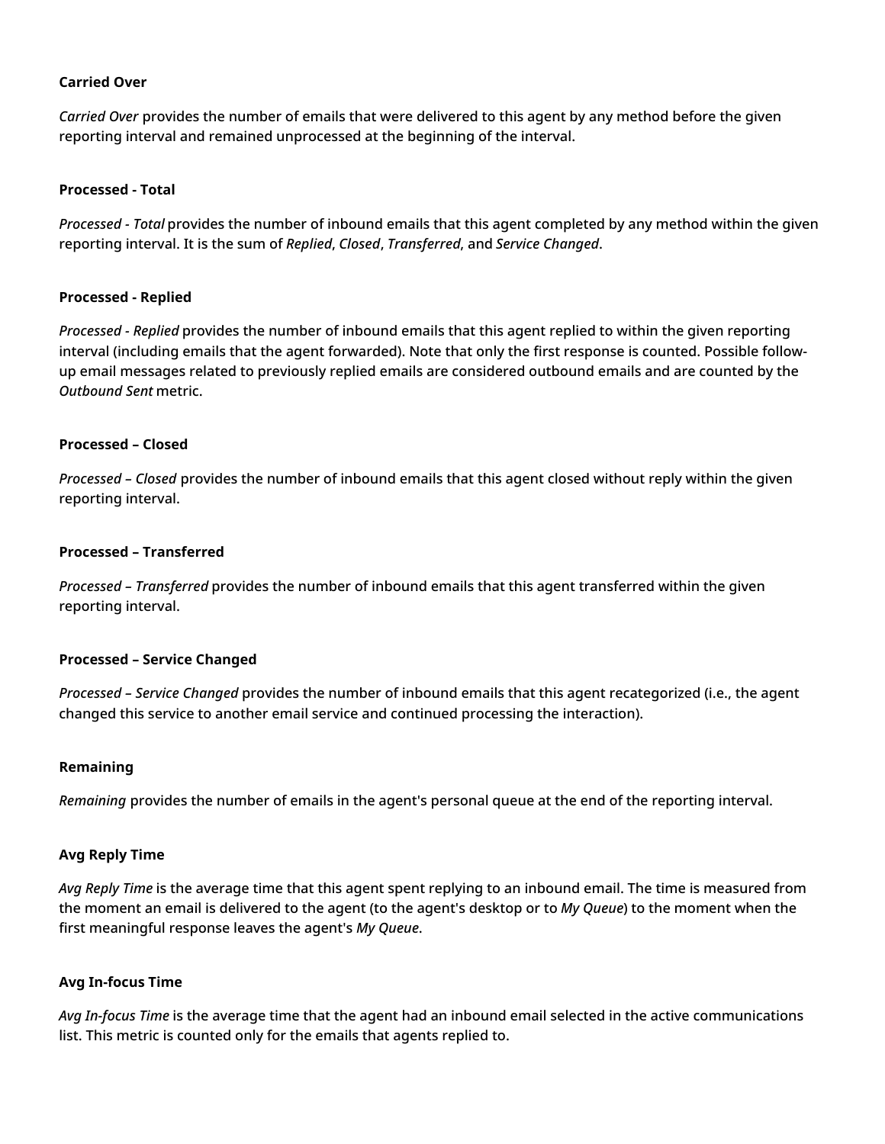#### **Carried Over**

*Carried Over* provides the number of emails that were delivered to this agent by any method before the given reporting interval and remained unprocessed at the beginning of the interval.

#### **Processed - Total**

*Processed - Total* provides the number of inbound emails that this agent completed by any method within the given reporting interval. It is the sum of *Replied*, *Closed*, *Transferred*, and *Service Changed*.

#### **Processed - Replied**

*Processed - Replied* provides the number of inbound emails that this agent replied to within the given reporting interval (including emails that the agent forwarded). Note that only the first response is counted. Possible followup email messages related to previously replied emails are considered outbound emails and are counted by the *Outbound Sent* metric.

#### **Processed – Closed**

*Processed – Closed* provides the number of inbound emails that this agent closed without reply within the given reporting interval.

#### **Processed – Transferred**

*Processed – Transferred* provides the number of inbound emails that this agent transferred within the given reporting interval.

#### **Processed – Service Changed**

*Processed – Service Changed* provides the number of inbound emails that this agent recategorized (i.e., the agent changed this service to another email service and continued processing the interaction).

#### **Remaining**

*Remaining* provides the number of emails in the agent's personal queue at the end of the reporting interval.

#### **Avg Reply Time**

*Avg Reply Time* is the average time that this agent spent replying to an inbound email. The time is measured from the moment an email is delivered to the agent (to the agent's desktop or to *My Queue*) to the moment when the first meaningful response leaves the agent's *My Queue*.

#### **Avg In-focus Time**

*Avg In-focus Time* is the average time that the agent had an inbound email selected in the active communications list. This metric is counted only for the emails that agents replied to.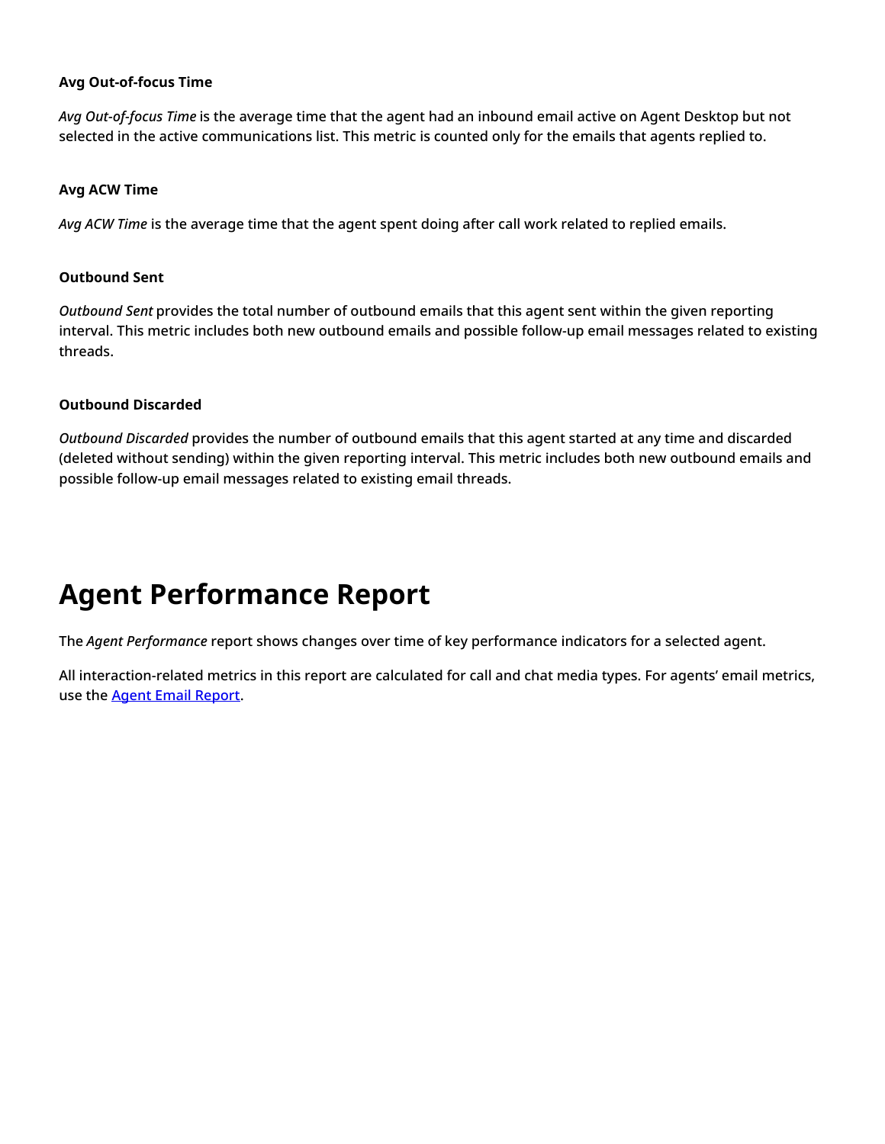#### **Avg Out-of-focus Time**

*Avg Out-of-focus Time* is the average time that the agent had an inbound email active on Agent Desktop but not selected in the active communications list. This metric is counted only for the emails that agents replied to.

#### **Avg ACW Time**

*Avg ACW Time* is the average time that the agent spent doing after call work related to replied emails.

#### **Outbound Sent**

*Outbound Sent* provides the total number of outbound emails that this agent sent within the given reporting interval. This metric includes both new outbound emails and possible follow-up email messages related to existing threads.

#### **Outbound Discarded**

*Outbound Discarded* provides the number of outbound emails that this agent started at any time and discarded (deleted without sending) within the given reporting interval. This metric includes both new outbound emails and possible follow-up email messages related to existing email threads.

# <span id="page-6-0"></span>**Agent Performance Report**

The *Agent Performance* report shows changes over time of key performance indicators for a selected agent.

All interaction-related metrics in this report are calculated for call and chat media types. For agents' email metrics, use the **Agent Email [Report](https://help.brightpattern.com/5.3:Reporting-reference-guide/GeneralInformationAboutAggregateReports/?action=html-localimages-export#topic_reporting-reference-guide.2Fagentemailreport)**.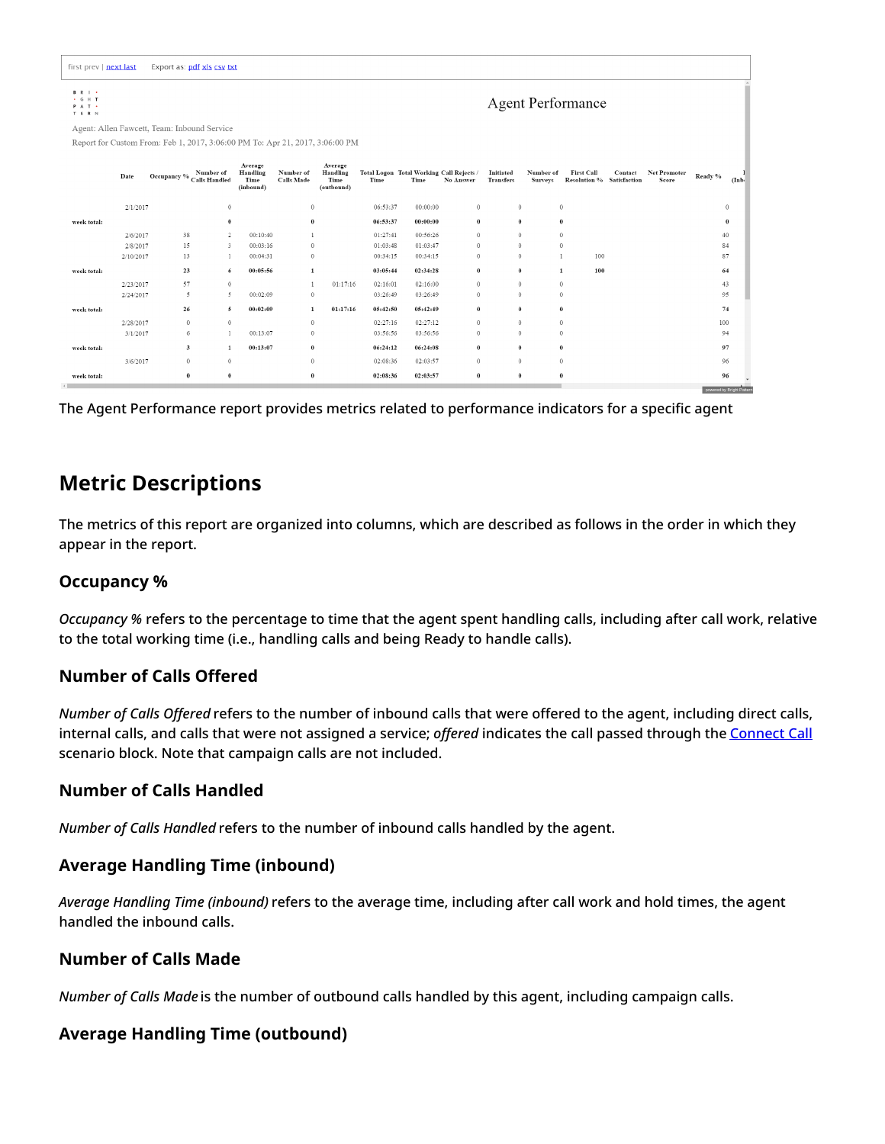| first prev   next last                           |           | Export as: pdf xls csy txt                                                   |                                          |                                |                                           |          |                                                  |                  |                               |                             |                                                |         |                       |                        |       |
|--------------------------------------------------|-----------|------------------------------------------------------------------------------|------------------------------------------|--------------------------------|-------------------------------------------|----------|--------------------------------------------------|------------------|-------------------------------|-----------------------------|------------------------------------------------|---------|-----------------------|------------------------|-------|
| <b>B</b> R I +<br>$\cdot$ G H T<br>PAT .<br>TERN |           |                                                                              |                                          |                                |                                           |          |                                                  |                  |                               |                             | <b>Agent Performance</b>                       |         |                       |                        |       |
|                                                  |           | Agent: Allen Fawcett, Team: Inbound Service                                  |                                          |                                |                                           |          |                                                  |                  |                               |                             |                                                |         |                       |                        |       |
|                                                  |           | Report for Custom From: Feb 1, 2017, 3:06:00 PM To: Apr 21, 2017, 3:06:00 PM |                                          |                                |                                           |          |                                                  |                  |                               |                             |                                                |         |                       |                        |       |
|                                                  | Date      | Occupancy % Number of<br>Calls Handled                                       | Average<br>Handling<br>Time<br>(inbound) | Number of<br><b>Calls Made</b> | Average<br>Handling<br>Time<br>(outbound) | Time     | Total Logon Total Working Call Rejects /<br>Time | <b>No Answer</b> | Initiated<br><b>Transfers</b> | Number of<br><b>Surveys</b> | <b>First Call</b><br>Resolution % Satisfaction | Contact | Net Promoter<br>Score | Ready %                | (Inb) |
|                                                  | 2/1/2017  | $\mathbf{0}$                                                                 |                                          | $\mathbf{0}$                   |                                           | 06:53:37 | 00:00:00                                         | $\mathbf{0}$     | $\theta$                      | $\bf{0}$                    |                                                |         |                       | $\mathbf{0}$           |       |
| week total:                                      |           | $\theta$                                                                     |                                          | $\bf{0}$                       |                                           | 06:53:37 | 00:00:00                                         | $\bf{0}$         | $\bf{0}$                      | $\bf{0}$                    |                                                |         |                       | $\bf{0}$               |       |
|                                                  | 2/6/2017  | 38<br>2                                                                      | 00:10:40                                 | 1                              |                                           | 01:27:41 | 00:56:26                                         | $\mathbf{0}$     | $\mathbf{0}$                  | $\mathbf{0}$                |                                                |         |                       | 40                     |       |
|                                                  | 2/8/2017  | 15<br>3                                                                      | 00:03:16                                 | $\theta$                       |                                           | 01:03:48 | 01:03:47                                         | $\mathbf{0}$     | $\theta$                      | $\ddot{\phantom{0}}$        |                                                |         |                       | 84                     |       |
|                                                  | 2/10/2017 | 13                                                                           | 00:04:31                                 | $\mathbf{0}$                   |                                           | 00:34:15 | 00:34:15                                         | $\mathbf{0}$     | $\mathbf{0}$                  | $\mathbf{1}$                | 100                                            |         |                       | 87                     |       |
| week total:                                      |           | 23<br>6                                                                      | 00:05:56                                 | 1                              |                                           | 03:05:44 | 02:34:28                                         | $\bf{0}$         | $\bf{0}$                      | $\mathbf{1}$                | 100                                            |         |                       | 64                     |       |
|                                                  | 2/23/2017 | 57<br>$\theta$                                                               |                                          |                                | 01:17:16                                  | 02:16:01 | 02:16:00                                         | $\theta$         | $\theta$                      | $\theta$                    |                                                |         |                       | 43                     |       |
|                                                  | 2/24/2017 | 5<br>-5                                                                      | 00:02:09                                 | $\mathbf{0}$                   |                                           | 03:26:49 | 03:26:49                                         | $\mathbf{0}$     | $\Omega$                      | $\theta$                    |                                                |         |                       | 95                     |       |
| week total:                                      |           | 26<br>5                                                                      | 00:02:09                                 | 1                              | 01:17:16                                  | 05:42:50 | 05:42:49                                         | $\bf{0}$         | $\theta$                      | $\theta$                    |                                                |         |                       | 74                     |       |
|                                                  | 2/28/2017 | $\mathbf{0}$<br>$\theta$                                                     |                                          | $\theta$                       |                                           | 02:27:16 | 02:27:12                                         | $\Omega$         | $\theta$                      | $\theta$                    |                                                |         |                       | 100                    |       |
|                                                  | 3/1/2017  | 6                                                                            | 00:13:07                                 | $\circ$                        |                                           | 03:56:56 | 03:56:56                                         | $\mathbf{0}$     | $\Omega$                      | $\theta$                    |                                                |         |                       | 94                     |       |
| week total:                                      |           | $\mathbf{3}$<br>$\mathbf{1}$                                                 | 00:13:07                                 | $\bf{0}$                       |                                           | 06:24:12 | 06:24:08                                         | $\bf{0}$         | $\bf{0}$                      | $\bf{0}$                    |                                                |         |                       | 97                     |       |
|                                                  | 3/6/2017  | $\mathbf{0}$<br>$\theta$                                                     |                                          | $\theta$                       |                                           | 02:08:36 | 02:03:57                                         | $\theta$         | $\theta$                      |                             | $\Omega$                                       |         |                       | 96                     |       |
| week total:                                      |           | $\theta$<br>0                                                                |                                          | $\bf{0}$                       |                                           | 02:08:36 | 02:03:57                                         | $\bf{0}$         | $\bf{0}$                      | $\theta$                    |                                                |         |                       | 96                     |       |
|                                                  |           |                                                                              |                                          |                                |                                           |          |                                                  |                  |                               |                             |                                                |         |                       | powered by Bright Patt |       |

The Agent Performance report provides metrics related to performance indicators for a specific agent

## <span id="page-7-0"></span>**Metric Descriptions**

The metrics of this report are organized into columns, which are described as follows in the order in which they appear in the report.

## <span id="page-7-1"></span>**Occupancy %**

*Occupancy %* refers to the percentage to time that the agent spent handling calls, including after call work, relative to the total working time (i.e., handling calls and being Ready to handle calls).

## <span id="page-7-2"></span>**Number of Calls Offered**

*Number of Calls Offered* refers to the number of inbound calls that were offered to the agent, including direct calls, internal calls, and calls that were not assigned a service; *offered* indicates the call passed through the [Connect](https://help.brightpattern.com/5.3:Reporting-reference-guide/GeneralInformationAboutAggregateReports/?action=html-localimages-export#topic_scenario-builder-reference-guide.2Fscenarioblocks.2Fconnectcall) Call scenario block. Note that campaign calls are not included.

## <span id="page-7-3"></span>**Number of Calls Handled**

*Number of Calls Handled* refers to the number of inbound calls handled by the agent.

## <span id="page-7-4"></span>**Average Handling Time (inbound)**

*Average Handling Time (inbound)* refers to the average time, including after call work and hold times, the agent handled the inbound calls.

### <span id="page-7-5"></span>**Number of Calls Made**

*Number of Calls Made* is the number of outbound calls handled by this agent, including campaign calls.

## <span id="page-7-6"></span>**Average Handling Time (outbound)**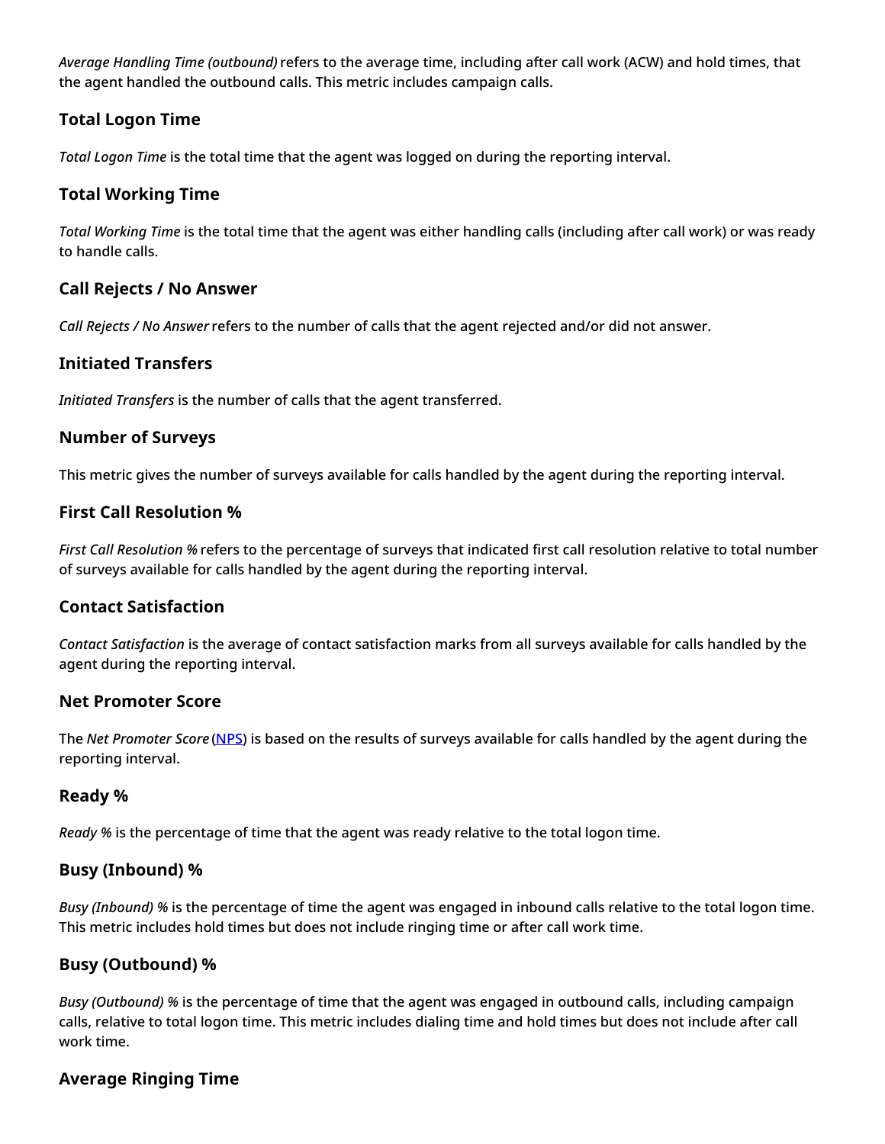*Average Handling Time (outbound)* refers to the average time, including after call work (ACW) and hold times, that the agent handled the outbound calls. This metric includes campaign calls.

## <span id="page-8-0"></span>**Total Logon Time**

*Total Logon Time* is the total time that the agent was logged on during the reporting interval.

## <span id="page-8-1"></span>**Total Working Time**

*Total Working Time* is the total time that the agent was either handling calls (including after call work) or was ready to handle calls.

### <span id="page-8-2"></span>**Call Rejects / No Answer**

*Call Rejects / No Answer* refers to the number of calls that the agent rejected and/or did not answer.

### <span id="page-8-3"></span>**Initiated Transfers**

*Initiated Transfers* is the number of calls that the agent transferred.

### <span id="page-8-4"></span>**Number of Surveys**

This metric gives the number of surveys available for calls handled by the agent during the reporting interval.

### <span id="page-8-5"></span>**First Call Resolution %**

*First Call Resolution %* refers to the percentage of surveys that indicated first call resolution relative to total number of surveys available for calls handled by the agent during the reporting interval.

## <span id="page-8-6"></span>**Contact Satisfaction**

*Contact Satisfaction* is the average of contact satisfaction marks from all surveys available for calls handled by the agent during the reporting interval.

### <span id="page-8-7"></span>**Net Promoter Score**

The *Net Promoter Score* [\(NPS](http://www.netpromoter.com/why-net-promoter/know/)) is based on the results of surveys available for calls handled by the agent during the reporting interval.

### <span id="page-8-8"></span>**Ready %**

*Ready %* is the percentage of time that the agent was ready relative to the total logon time.

### <span id="page-8-9"></span>**Busy (Inbound) %**

*Busy (Inbound) %* is the percentage of time the agent was engaged in inbound calls relative to the total logon time. This metric includes hold times but does not include ringing time or after call work time.

## <span id="page-8-10"></span>**Busy (Outbound) %**

*Busy (Outbound) %* is the percentage of time that the agent was engaged in outbound calls, including campaign calls, relative to total logon time. This metric includes dialing time and hold times but does not include after call work time.

### <span id="page-8-11"></span>**Average Ringing Time**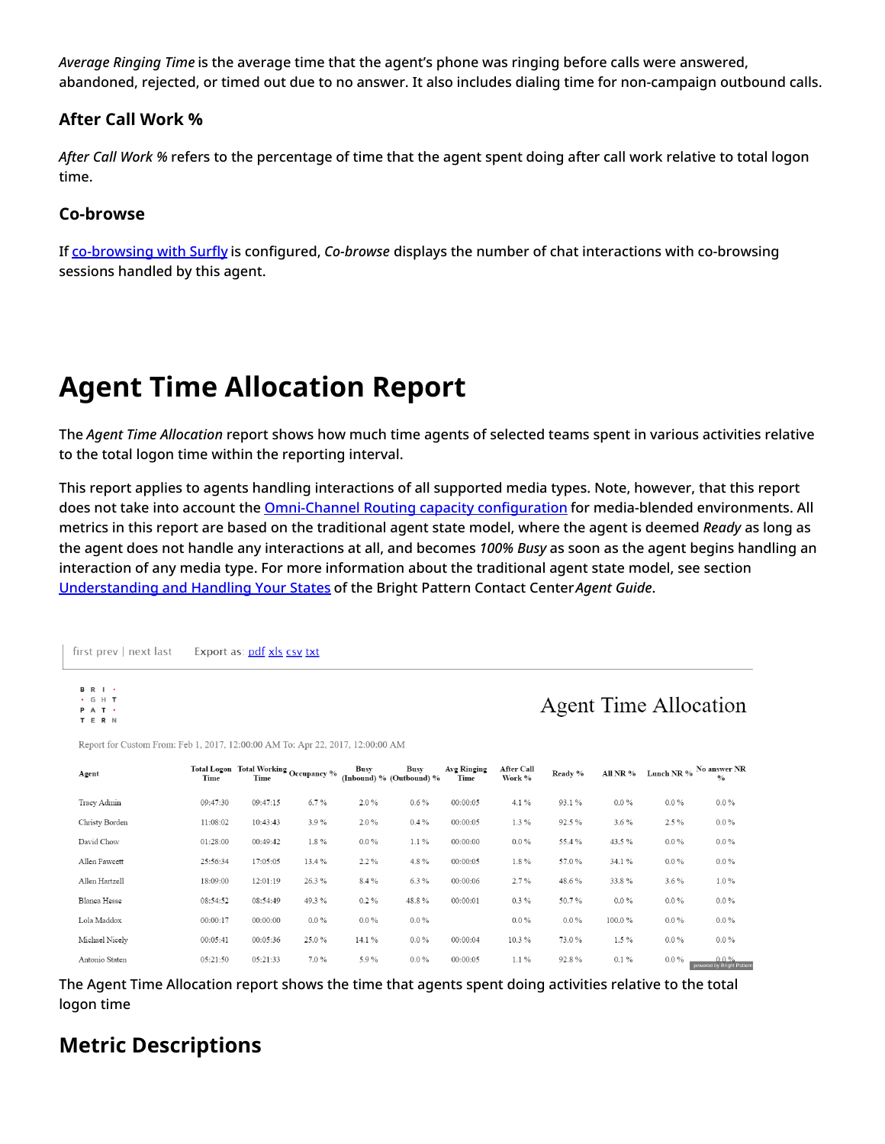*Average Ringing Time* is the average time that the agent's phone was ringing before calls were answered, abandoned, rejected, or timed out due to no answer. It also includes dialing time for non-campaign outbound calls.

## <span id="page-9-0"></span>**After Call Work %**

*After Call Work %* refers to the percentage of time that the agent spent doing after call work relative to total logon time.

## <span id="page-9-1"></span>**Co-browse**

If [co-browsing](https://help.brightpattern.com/5.3:Reporting-reference-guide/GeneralInformationAboutAggregateReports/?action=html-localimages-export#topic_surfly-integration-guide.2Fabout) with Surfly is configured, *Co-browse* displays the number of chat interactions with co-browsing sessions handled by this agent.

# <span id="page-9-2"></span>**Agent Time Allocation Report**

The *Agent Time Allocation* report shows how much time agents of selected teams spent in various activities relative to the total logon time within the reporting interval.

This report applies to agents handling interactions of all supported media types. Note, however, that this report does not take into account the *[Omni-Channel](https://help.brightpattern.com/5.3:Reporting-reference-guide/GeneralInformationAboutAggregateReports/?action=html-localimages-export#topic_contact-center-administrator-guide.2Fomni-channelrouting) Routing capacity configuration* for media-blended environments. All metrics in this report are based on the traditional agent state model, where the agent is deemed *Ready* as long as the agent does not handle any interactions at all, and becomes *100% Busy* as soon as the agent begins handling an interaction of any media type. For more information about the traditional agent state model, see section [Understanding](https://help.brightpattern.com/5.3:Reporting-reference-guide/GeneralInformationAboutAggregateReports/?action=html-localimages-export#topic_agent-guide.2Fhowtointerpretyourcurrentstateinformation) and Handling Your States of the Bright Pattern Contact Center*Agent Guide*.

first prev | next last Export as: pdf xls csv txt

**B** R I .  $\cdot$  G H T

**Agent Time Allocation** 

| Agent          | Time     | Total Logon Total Working Occupancy %<br>Time |         | <b>Busy</b> | <b>Busy</b><br>(Inbound) % (Outbound) % | Avg Ringing<br>Time | After Call<br>Work % | Ready % | All NR % |         | Lunch NR $\%$ $\,$ No answer NR<br>$\frac{0}{0}$ |
|----------------|----------|-----------------------------------------------|---------|-------------|-----------------------------------------|---------------------|----------------------|---------|----------|---------|--------------------------------------------------|
| Tracy Admin    | 09:47:30 | 09:47:15                                      | 6.7%    | 2.0%        | $0.6\%$                                 | 00:00:05            | $4.1\%$              | 93.1%   | $0.0\%$  | $0.0\%$ | $0.0\%$                                          |
| Christy Borden | 11:08:02 | 10:43:43                                      | 3.9%    | 2.0%        | $0.4\%$                                 | 00:00:05            | $1.3\%$              | 92.5%   | $3.6\%$  | 2.5%    | $0.0\%$                                          |
| David Chow     | 01:28:00 | 00:49:42                                      | $1.8\%$ | $0.0\%$     | $1.1\%$                                 | 00:00:00            | $0.0\%$              | 55.4%   | 43.5%    | $0.0\%$ | $0.0\%$                                          |
| Allen Fawcett  | 25:56:34 | 17:05:05                                      | 13.4 %  | 2.2%        | 4.8%                                    | 00:00:05            | $1.8\%$              | 57.0%   | 34.1 %   | $0.0\%$ | $0.0\%$                                          |
| Allen Hartzell | 18:09:00 | 12:01:19                                      | 26.3%   | 8.4%        | 6.3%                                    | 00:00:06            | 2.7%                 | 48.6%   | 33.8%    | $3.6\%$ | $1.0\%$                                          |
| Blanca Hesse   | 08:54:52 | 08:54:49                                      | 49.3%   | $0.2\%$     | 48.8%                                   | 00:00:01            | $0.3\%$              | 50.7%   | $0.0\%$  | $0.0\%$ | $0.0\%$                                          |
| Lola Maddox    | 00:00:17 | 00:00:00                                      | $0.0\%$ | $0.0\%$     | $0.0\%$                                 |                     | $0.0\%$              | $0.0\%$ | 100.0%   | $0.0\%$ | $0.0\%$                                          |
| Michael Nicely | 00:05:41 | 00:05:36                                      | 25.0%   | 14.1 %      | $0.0\%$                                 | 00:00:04            | 10.3%                | 73.0%   | 1.5%     | $0.0\%$ | $0.0\%$                                          |
| Antonio Staten | 05:21:50 | 05:21:33                                      | $7.0\%$ | 5.9%        | $0.0\%$                                 | 00:00:05            | $1.1\%$              | 92.8%   | 0.1%     | $0.0\%$ | $0.0\%$<br>powered by Bright Pattern             |

Report for Custom From: Feb 1, 2017, 12:00:00 AM To: Apr 22, 2017, 12:00:00 AM

The Agent Time Allocation report shows the time that agents spent doing activities relative to the total logon time

## <span id="page-9-3"></span>**Metric Descriptions**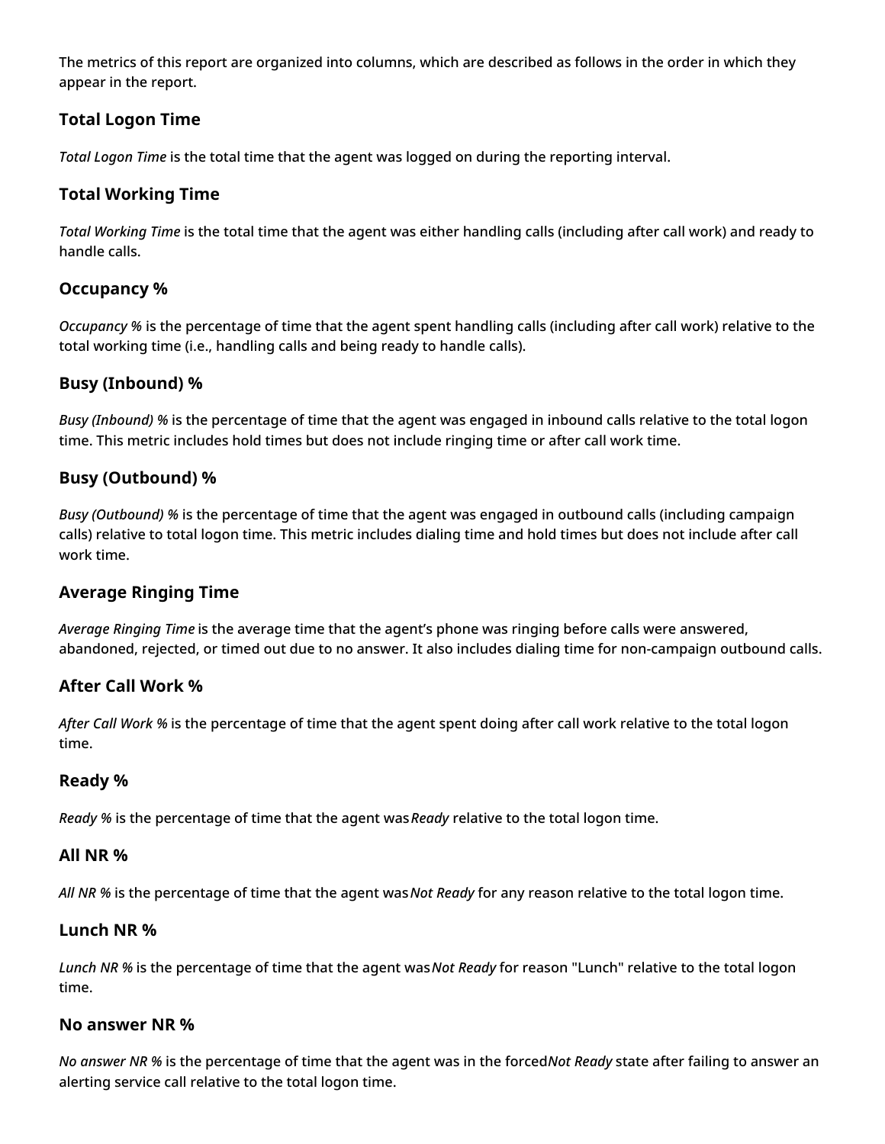The metrics of this report are organized into columns, which are described as follows in the order in which they appear in the report.

## <span id="page-10-0"></span>**Total Logon Time**

*Total Logon Time* is the total time that the agent was logged on during the reporting interval.

## <span id="page-10-1"></span>**Total Working Time**

*Total Working Time* is the total time that the agent was either handling calls (including after call work) and ready to handle calls.

## <span id="page-10-2"></span>**Occupancy %**

*Occupancy %* is the percentage of time that the agent spent handling calls (including after call work) relative to the total working time (i.e., handling calls and being ready to handle calls).

## <span id="page-10-3"></span>**Busy (Inbound) %**

*Busy (Inbound) %* is the percentage of time that the agent was engaged in inbound calls relative to the total logon time. This metric includes hold times but does not include ringing time or after call work time.

## <span id="page-10-4"></span>**Busy (Outbound) %**

*Busy (Outbound) %* is the percentage of time that the agent was engaged in outbound calls (including campaign calls) relative to total logon time. This metric includes dialing time and hold times but does not include after call work time.

## <span id="page-10-5"></span>**Average Ringing Time**

*Average Ringing Time* is the average time that the agent's phone was ringing before calls were answered, abandoned, rejected, or timed out due to no answer. It also includes dialing time for non-campaign outbound calls.

## <span id="page-10-6"></span>**After Call Work %**

*After Call Work %* is the percentage of time that the agent spent doing after call work relative to the total logon time.

### <span id="page-10-7"></span>**Ready %**

*Ready %* is the percentage of time that the agent was*Ready* relative to the total logon time.

### <span id="page-10-8"></span>**All NR %**

*All NR %* is the percentage of time that the agent was*Not Ready* for any reason relative to the total logon time.

### <span id="page-10-9"></span>**Lunch NR %**

*Lunch NR %* is the percentage of time that the agent was*Not Ready* for reason "Lunch" relative to the total logon time.

### <span id="page-10-10"></span>**No answer NR %**

*No answer NR %* is the percentage of time that the agent was in the forced*Not Ready* state after failing to answer an alerting service call relative to the total logon time.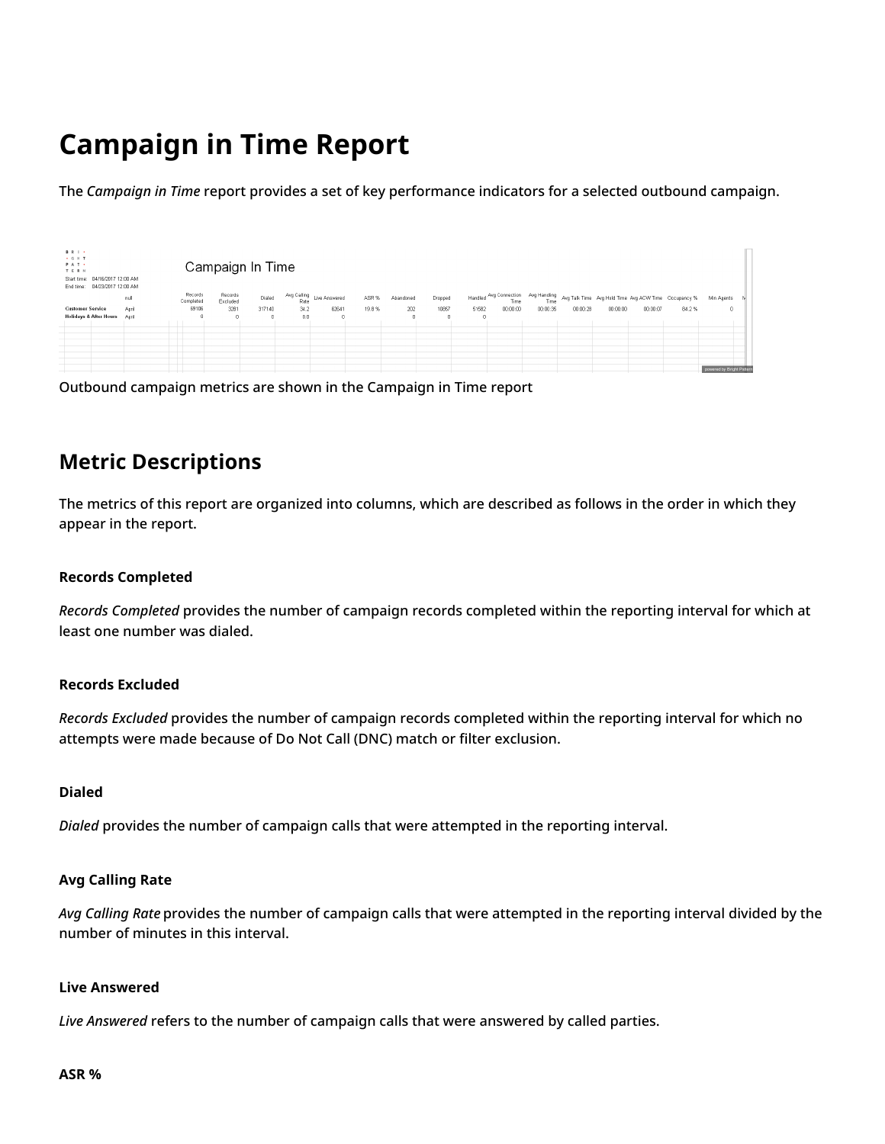# <span id="page-11-0"></span>**Campaign in Time Report**

The *Campaign in Time* report provides a set of key performance indicators for a selected outbound campaign.

| <b>BRI-</b><br>$+$ G H T<br>PAT -<br>TERN<br>Start time: 04/16/2017 12:00 AM<br>End time: 04/23/2017 12:00 AM |       |                               | Campaign In Time    |            |      |                                   |       |            |          |       |                                             |          |          |                                                      |          |       |                           |  |
|---------------------------------------------------------------------------------------------------------------|-------|-------------------------------|---------------------|------------|------|-----------------------------------|-------|------------|----------|-------|---------------------------------------------|----------|----------|------------------------------------------------------|----------|-------|---------------------------|--|
|                                                                                                               | null  | Records<br>Completed          | Records<br>Excluded | Dialed     |      | Avg Calling<br>Rate Live Answered | ASR % | Abandoned  | Dropped  |       | Handled Avg Connection Avg Handling<br>Time | Time     |          | Avg Talk Time Avg Hold Time Avg ACW Time Occupancy % |          |       | Min Agents                |  |
| <b>Customer Service</b>                                                                                       | April | 69106                         | 3261                | 317140     | 34.2 | 62641                             | 19.8% | 202        | 10857    | 51582 | 00:00:00                                    | 00:00:35 | 00:00:28 | 00:00:00                                             | 00:00:07 | 84.2% | $\theta$                  |  |
| <b>Holidays &amp; After Hours</b>                                                                             | April | $\mathbf{0}$                  | $\Omega$            | $^{\circ}$ | 0.0  | $^{\circ}$                        |       | $\sqrt{2}$ | $\theta$ |       |                                             |          |          |                                                      |          |       |                           |  |
|                                                                                                               |       | $\mathbb{R}$                  |                     |            |      |                                   |       |            |          |       |                                             |          |          |                                                      |          |       |                           |  |
|                                                                                                               |       |                               |                     |            |      |                                   |       |            |          |       |                                             |          |          |                                                      |          |       |                           |  |
|                                                                                                               |       |                               |                     |            |      |                                   |       |            |          |       |                                             |          |          |                                                      |          |       |                           |  |
|                                                                                                               |       | T                             |                     |            |      |                                   |       |            |          |       |                                             |          |          |                                                      |          |       |                           |  |
|                                                                                                               |       | T                             |                     |            |      |                                   |       |            |          |       |                                             |          |          |                                                      |          |       |                           |  |
|                                                                                                               |       |                               |                     |            |      |                                   |       |            |          |       |                                             |          |          |                                                      |          |       |                           |  |
|                                                                                                               |       | T<br>$\overline{\phantom{a}}$ |                     |            |      |                                   |       |            |          |       |                                             |          |          |                                                      |          |       | powered by Bright Pattern |  |

Outbound campaign metrics are shown in the Campaign in Time report

## <span id="page-11-1"></span>**Metric Descriptions**

The metrics of this report are organized into columns, which are described as follows in the order in which they appear in the report.

#### **Records Completed**

*Records Completed* provides the number of campaign records completed within the reporting interval for which at least one number was dialed.

#### **Records Excluded**

*Records Excluded* provides the number of campaign records completed within the reporting interval for which no attempts were made because of Do Not Call (DNC) match or filter exclusion.

#### **Dialed**

*Dialed* provides the number of campaign calls that were attempted in the reporting interval.

#### **Avg Calling Rate**

*Avg Calling Rate* provides the number of campaign calls that were attempted in the reporting interval divided by the number of minutes in this interval.

#### **Live Answered**

*Live Answered* refers to the number of campaign calls that were answered by called parties.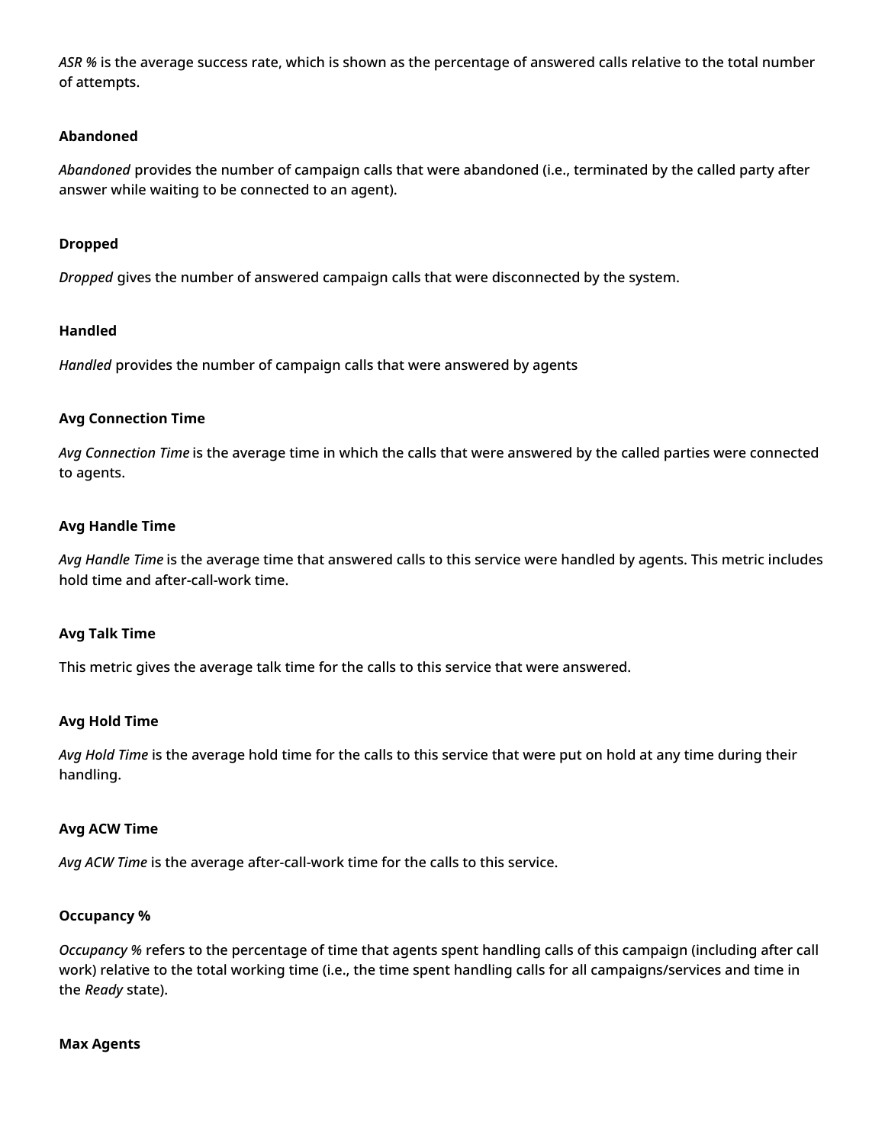*ASR %* is the average success rate, which is shown as the percentage of answered calls relative to the total number of attempts.

#### **Abandoned**

*Abandoned* provides the number of campaign calls that were abandoned (i.e., terminated by the called party after answer while waiting to be connected to an agent).

#### **Dropped**

*Dropped* gives the number of answered campaign calls that were disconnected by the system.

#### **Handled**

*Handled* provides the number of campaign calls that were answered by agents

#### **Avg Connection Time**

*Avg Connection Time* is the average time in which the calls that were answered by the called parties were connected to agents.

#### **Avg Handle Time**

*Avg Handle Time* is the average time that answered calls to this service were handled by agents. This metric includes hold time and after-call-work time.

#### **Avg Talk Time**

This metric gives the average talk time for the calls to this service that were answered.

#### **Avg Hold Time**

*Avg Hold Time* is the average hold time for the calls to this service that were put on hold at any time during their handling.

#### **Avg ACW Time**

*Avg ACW Time* is the average after-call-work time for the calls to this service.

### **Occupancy %**

*Occupancy %* refers to the percentage of time that agents spent handling calls of this campaign (including after call work) relative to the total working time (i.e., the time spent handling calls for all campaigns/services and time in the *Ready* state).

### **Max Agents**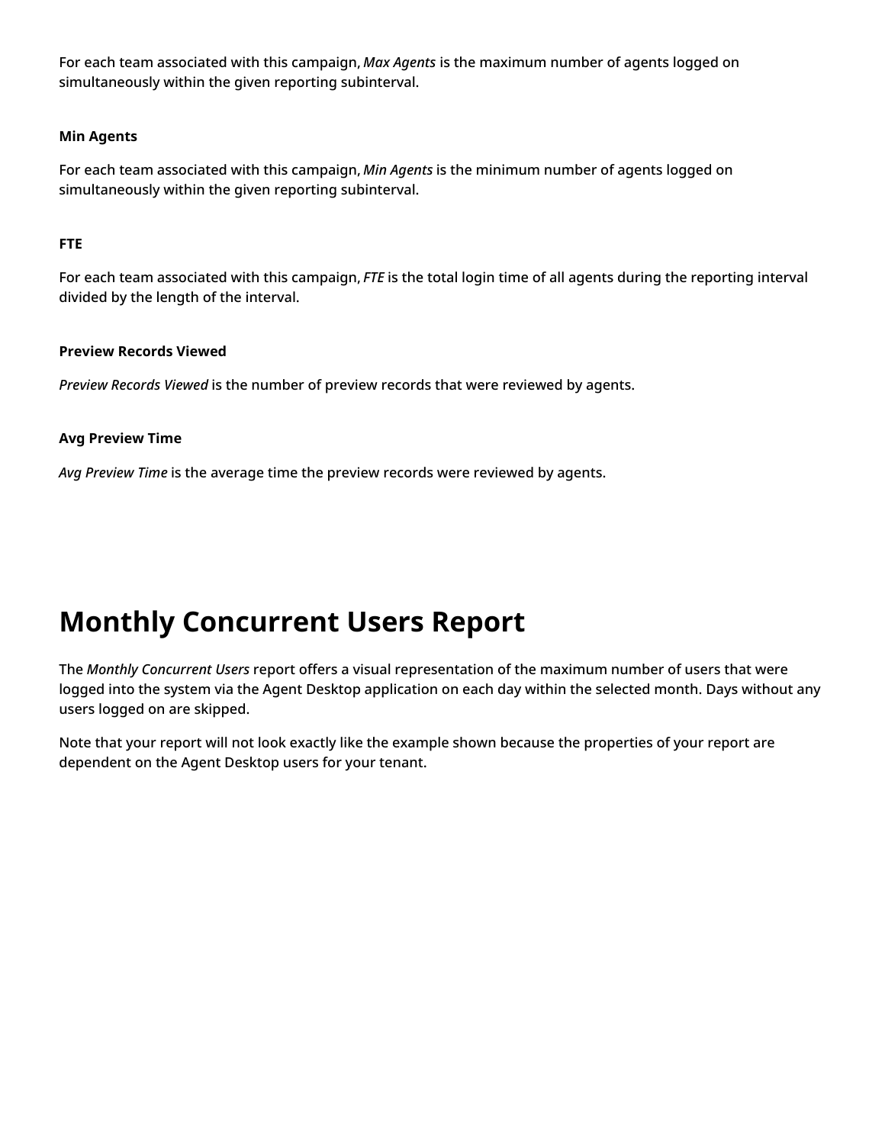For each team associated with this campaign, *Max Agents* is the maximum number of agents logged on simultaneously within the given reporting subinterval.

#### **Min Agents**

For each team associated with this campaign, *Min Agents* is the minimum number of agents logged on simultaneously within the given reporting subinterval.

#### **FTE**

For each team associated with this campaign, *FTE* is the total login time of all agents during the reporting interval divided by the length of the interval.

#### **Preview Records Viewed**

*Preview Records Viewed* is the number of preview records that were reviewed by agents.

### **Avg Preview Time**

*Avg Preview Time* is the average time the preview records were reviewed by agents.

# <span id="page-13-0"></span>**Monthly Concurrent Users Report**

The *Monthly Concurrent Users* report offers a visual representation of the maximum number of users that were logged into the system via the Agent Desktop application on each day within the selected month. Days without any users logged on are skipped.

Note that your report will not look exactly like the example shown because the properties of your report are dependent on the Agent Desktop users for your tenant.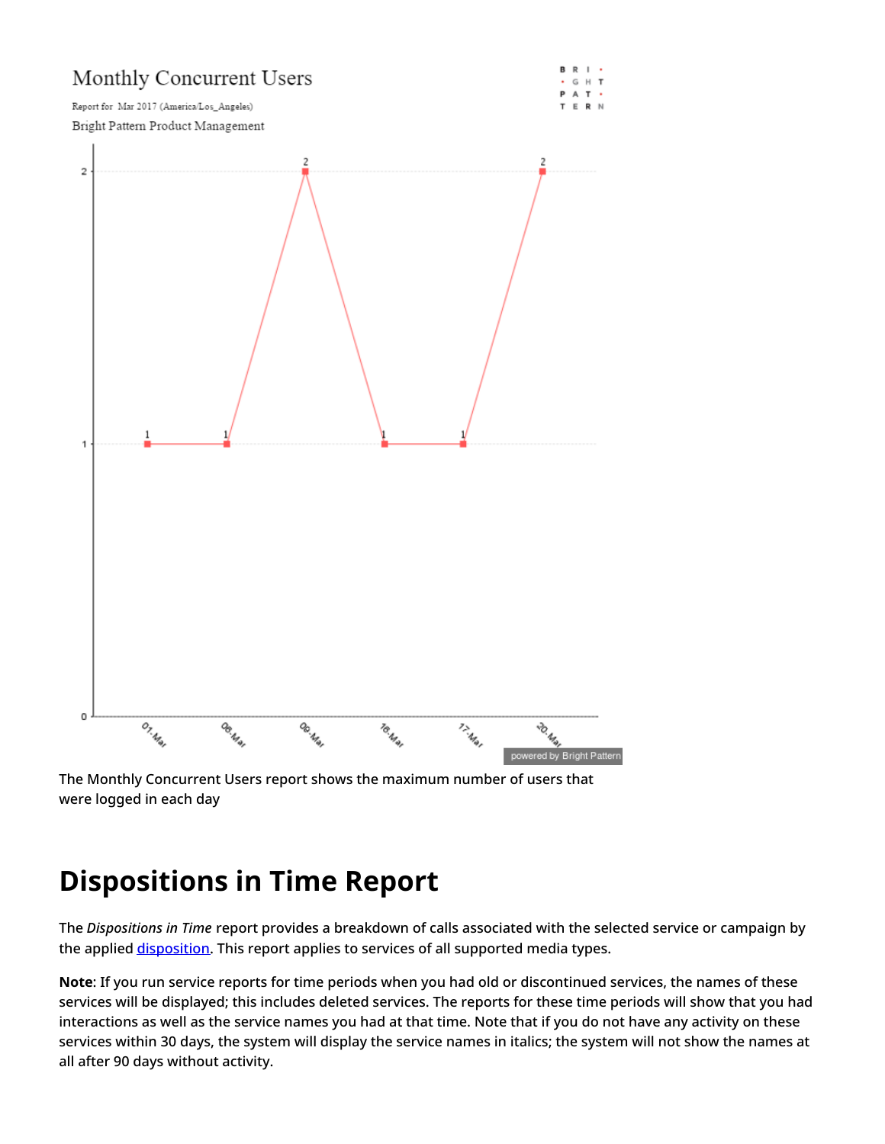

The Monthly Concurrent Users report shows the maximum number of users that were logged in each day

# <span id="page-14-0"></span>**Dispositions in Time Report**

The *Dispositions in Time* report provides a breakdown of calls associated with the selected service or campaign by the applied [disposition](https://help.brightpattern.com/5.3:Reporting-reference-guide/GeneralInformationAboutAggregateReports/?action=html-localimages-export#topic_contact-center-administrator-guide.2Fdispositionstab). This report applies to services of all supported media types.

**Note**: If you run service reports for time periods when you had old or discontinued services, the names of these services will be displayed; this includes deleted services. The reports for these time periods will show that you had interactions as well as the service names you had at that time. Note that if you do not have any activity on these services within 30 days, the system will display the service names in italics; the system will not show the names at all after 90 days without activity.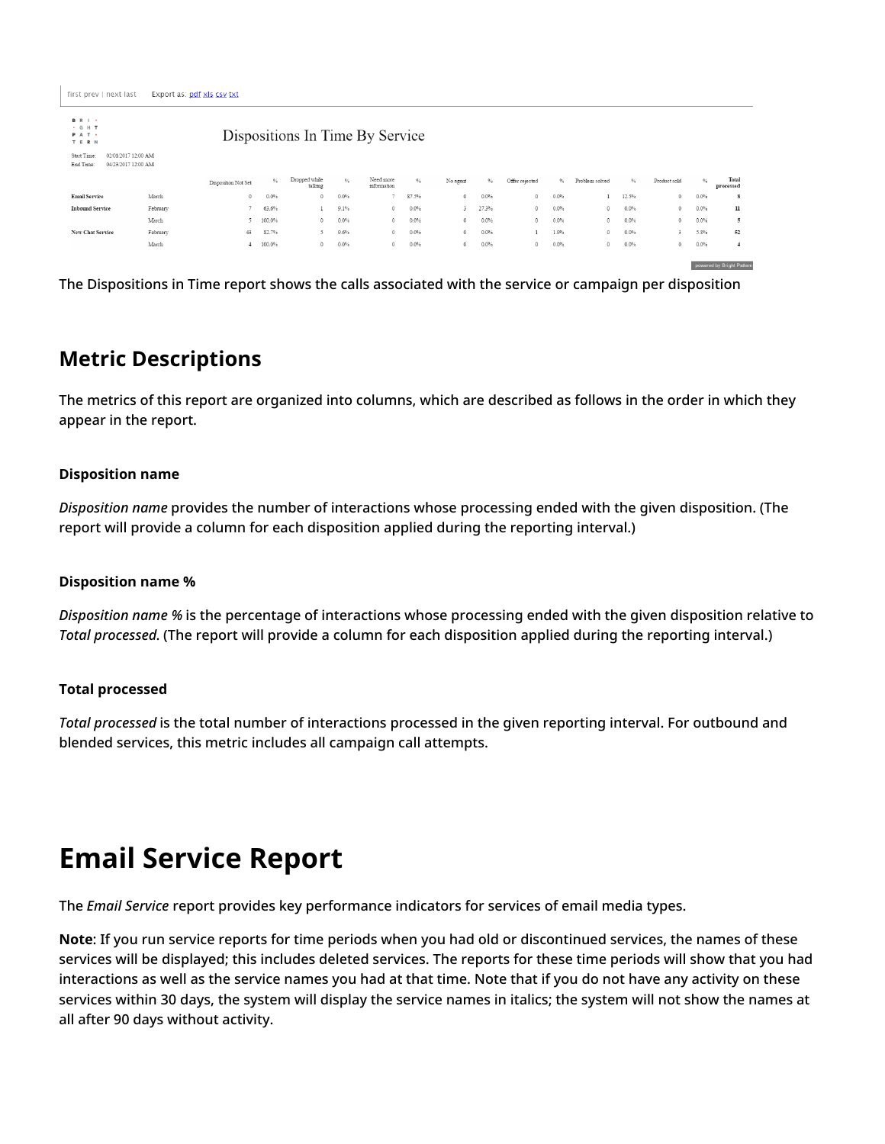**B** R I +

| $\cdot$ G H T<br>PAT .<br>T E R N | Dispositions In Time By Service            |                     |               |                          |               |                          |         |          |         |                |      |                |               |              |               |                           |
|-----------------------------------|--------------------------------------------|---------------------|---------------|--------------------------|---------------|--------------------------|---------|----------|---------|----------------|------|----------------|---------------|--------------|---------------|---------------------------|
| Start Time:<br>End Time:          | 02/01/2017 12:00 AM<br>04/23/2017 12:00 AM |                     |               |                          |               |                          |         |          |         |                |      |                |               |              |               |                           |
|                                   |                                            | Disposition Not Set | $\frac{9}{4}$ | Dropped while<br>talking | $\frac{9}{6}$ | Need more<br>information | $\%$    | No agent | $\%$    | Offer rejected | $\%$ | Problem solved | $\frac{9}{6}$ | Product sold | $\frac{9}{6}$ | Total<br>processed        |
| <b>Email Service</b>              | March                                      | $\circ$             | 0.0%          | $\circ$                  | 0.0%          |                          | 87.5%   | 0        | $0.0\%$ | $\circ$        | 0.0% |                | 12.5%         | $\circ$      | 0.0%          | 8                         |
| <b>Inbound Service</b>            | February                                   |                     | 63.6%         |                          | 9.1%          | 0                        | $0.0\%$ | 3        | 27.3%   | $\circ$        | 0.0% | 0              | 0.0%          | $\mathbf{0}$ | 0.0%          | $_{\rm n}$                |
|                                   | March                                      |                     | 100.0%        | $\circ$                  | $0.0\%$       | $\circ$                  | $0.0\%$ | $\circ$  | $0.0\%$ | $\circ$        | 0.0% | $\circ$        | 0.0%          | $\circ$      | 0.0%          | 5                         |
| New Chat Service                  | February                                   | 43                  | 82.7%         |                          | 9.6%          | $\circ$                  | $0.0\%$ | $\circ$  | $0.0\%$ |                | 1.9% | $\circ$        | 0.0%          | $\ddot{3}$   | 5.8%          | 52                        |
|                                   | March                                      |                     | 100.0%        | $\Omega$                 | 0.0%          | $\Omega$                 | $0.0\%$ | $\theta$ | 0.0%    | $\theta$       | 0.0% | $\circ$        | 0.0%          | $\Omega$     | 0.0%          | $\overline{4}$            |
|                                   |                                            |                     |               |                          |               |                          |         |          |         |                |      |                |               |              |               |                           |
|                                   |                                            |                     |               |                          |               |                          |         |          |         |                |      |                |               |              |               | powered by Bright Pattern |

The Dispositions in Time report shows the calls associated with the service or campaign per disposition

## <span id="page-15-0"></span>**Metric Descriptions**

The metrics of this report are organized into columns, which are described as follows in the order in which they appear in the report.

#### **Disposition name**

*Disposition name* provides the number of interactions whose processing ended with the given disposition. (The report will provide a column for each disposition applied during the reporting interval.)

#### **Disposition name %**

*Disposition name %* is the percentage of interactions whose processing ended with the given disposition relative to *Total processed*. (The report will provide a column for each disposition applied during the reporting interval.)

#### **Total processed**

*Total processed* is the total number of interactions processed in the given reporting interval. For outbound and blended services, this metric includes all campaign call attempts.

# <span id="page-15-1"></span>**Email Service Report**

The *Email Service* report provides key performance indicators for services of email media types.

**Note**: If you run service reports for time periods when you had old or discontinued services, the names of these services will be displayed; this includes deleted services. The reports for these time periods will show that you had interactions as well as the service names you had at that time. Note that if you do not have any activity on these services within 30 days, the system will display the service names in italics; the system will not show the names at all after 90 days without activity.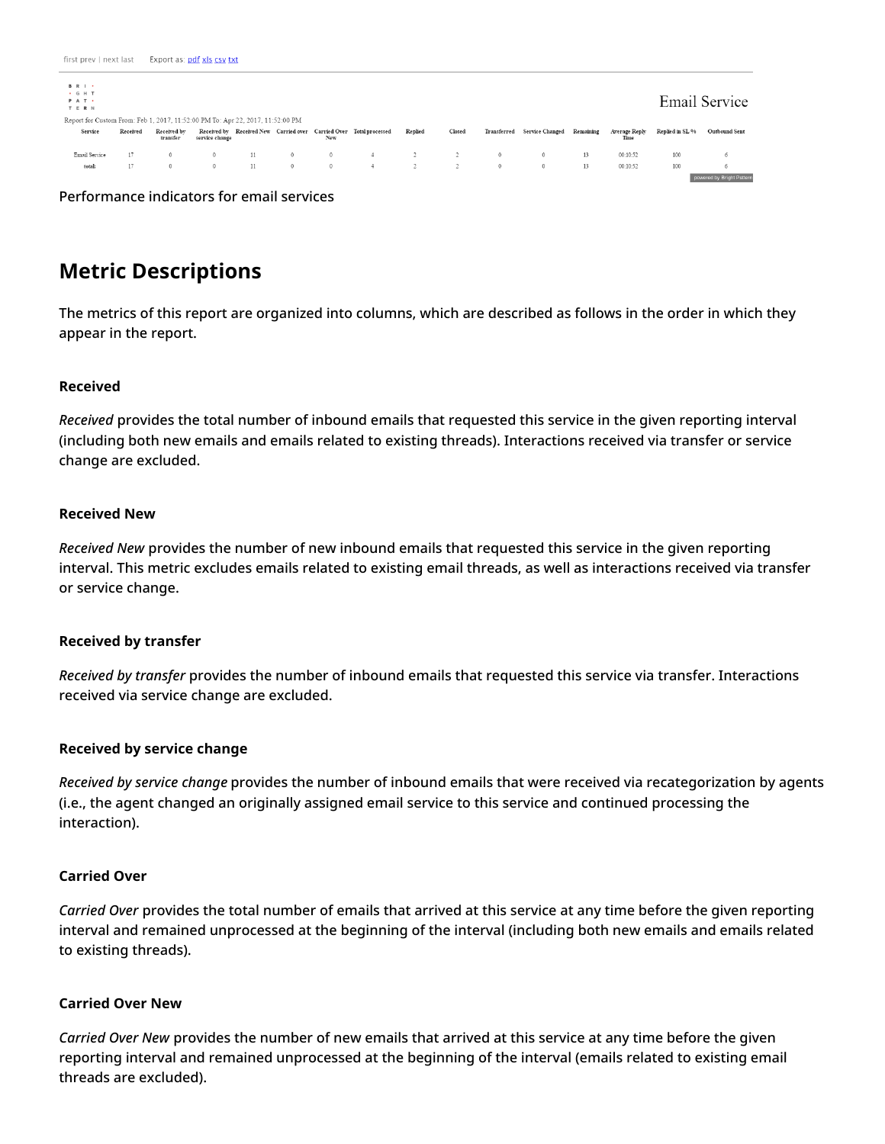| <b>BRI</b><br>. G H T<br>PAT .<br>TERN<br>Report for Custom From: Feb 1, 2017, 11:52:00 PM To: Apr 22, 2017, 11:52:00 PM |          |                         |                |    |         |          |                                                                    |         |        |          |                                       |    |               |                 | Email Service             |
|--------------------------------------------------------------------------------------------------------------------------|----------|-------------------------|----------------|----|---------|----------|--------------------------------------------------------------------|---------|--------|----------|---------------------------------------|----|---------------|-----------------|---------------------------|
| Service                                                                                                                  | Received | Received by<br>transfer | service change |    |         | New      | Received by Received New Carried over Carried Over Total processed | Replied | Closed |          | Transferred Service Changed Remaining |    | Average Reply | Replied in SL % | Outbound Sent             |
| Email Service                                                                                                            | 17       |                         |                | 11 | $\circ$ | $\Omega$ | J.                                                                 |         |        | $\circ$  | $^{\circ}$                            | 13 | 00:10:52      | 100             | $\circ$                   |
| total:                                                                                                                   | 17       | $\Omega$                |                | 11 | $\circ$ | $\Omega$ | -4                                                                 |         |        | $\Omega$ | $^{\circ}$                            | 13 | 00:10:52      | 100             | 6                         |
|                                                                                                                          |          |                         |                |    |         |          |                                                                    |         |        |          |                                       |    |               |                 | powered by Bright Pattern |

Performance indicators for email services

## <span id="page-16-0"></span>**Metric Descriptions**

The metrics of this report are organized into columns, which are described as follows in the order in which they appear in the report.

#### **Received**

*Received* provides the total number of inbound emails that requested this service in the given reporting interval (including both new emails and emails related to existing threads). Interactions received via transfer or service change are excluded.

#### **Received New**

*Received New* provides the number of new inbound emails that requested this service in the given reporting interval. This metric excludes emails related to existing email threads, as well as interactions received via transfer or service change.

#### **Received by transfer**

*Received by transfer* provides the number of inbound emails that requested this service via transfer. Interactions received via service change are excluded.

#### **Received by service change**

*Received by service change* provides the number of inbound emails that were received via recategorization by agents (i.e., the agent changed an originally assigned email service to this service and continued processing the interaction).

#### **Carried Over**

*Carried Over* provides the total number of emails that arrived at this service at any time before the given reporting interval and remained unprocessed at the beginning of the interval (including both new emails and emails related to existing threads).

#### **Carried Over New**

*Carried Over New* provides the number of new emails that arrived at this service at any time before the given reporting interval and remained unprocessed at the beginning of the interval (emails related to existing email threads are excluded).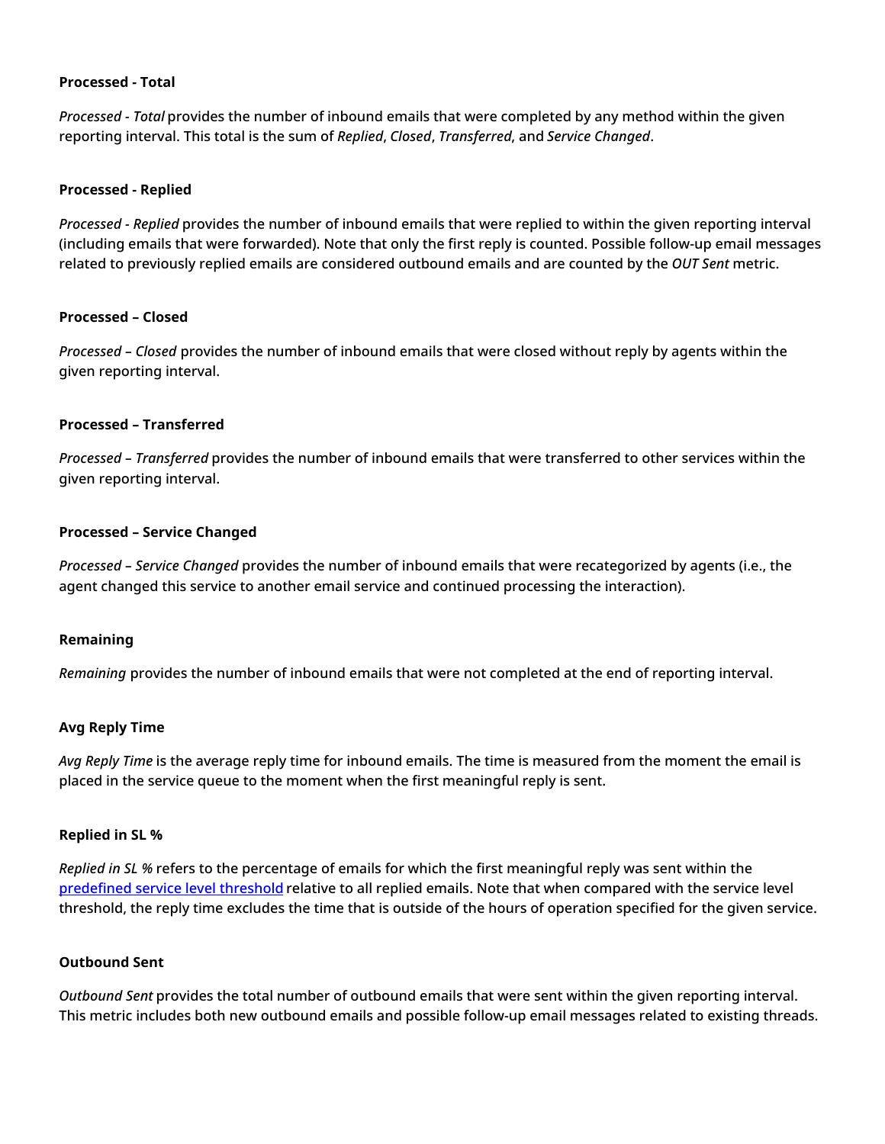#### **Processed - Total**

*Processed - Total* provides the number of inbound emails that were completed by any method within the given reporting interval. This total is the sum of *Replied*, *Closed*, *Transferred*, and *Service Changed*.

#### **Processed - Replied**

*Processed - Replied* provides the number of inbound emails that were replied to within the given reporting interval (including emails that were forwarded). Note that only the first reply is counted. Possible follow-up email messages related to previously replied emails are considered outbound emails and are counted by the *OUT Sent* metric.

#### **Processed – Closed**

*Processed – Closed* provides the number of inbound emails that were closed without reply by agents within the given reporting interval.

#### **Processed – Transferred**

*Processed – Transferred* provides the number of inbound emails that were transferred to other services within the given reporting interval.

#### **Processed – Service Changed**

*Processed – Service Changed* provides the number of inbound emails that were recategorized by agents (i.e., the agent changed this service to another email service and continued processing the interaction).

#### **Remaining**

*Remaining* provides the number of inbound emails that were not completed at the end of reporting interval.

#### **Avg Reply Time**

*Avg Reply Time* is the average reply time for inbound emails. The time is measured from the moment the email is placed in the service queue to the moment when the first meaningful reply is sent.

#### **Replied in SL %**

*Replied in SL %* refers to the percentage of emails for which the first meaningful reply was sent within the [predefined](https://help.brightpattern.com/5.3:Reporting-reference-guide/GeneralInformationAboutAggregateReports/?action=html-localimages-export#topic_contact-center-administrator-guide.2Femailtab) service level threshold relative to all replied emails. Note that when compared with the service level threshold, the reply time excludes the time that is outside of the hours of operation specified for the given service.

#### **Outbound Sent**

*Outbound Sent* provides the total number of outbound emails that were sent within the given reporting interval. This metric includes both new outbound emails and possible follow-up email messages related to existing threads.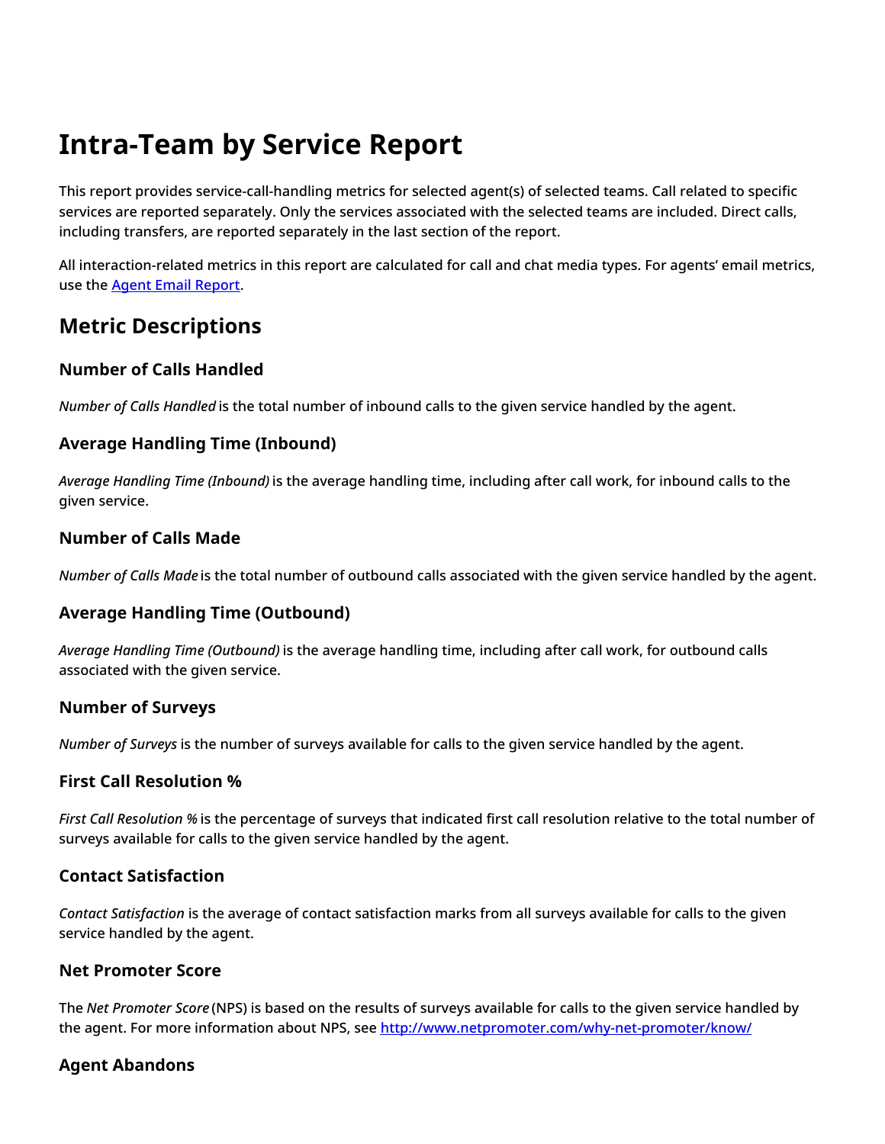# <span id="page-18-0"></span>**Intra-Team by Service Report**

This report provides service-call-handling metrics for selected agent(s) of selected teams. Call related to specific services are reported separately. Only the services associated with the selected teams are included. Direct calls, including transfers, are reported separately in the last section of the report.

All interaction-related metrics in this report are calculated for call and chat media types. For agents' email metrics, use the Agent Email [Report](https://help.brightpattern.com/5.3:Reporting-reference-guide/GeneralInformationAboutAggregateReports/?action=html-localimages-export#topic_reporting-reference-guide.2Fagentemailreport).

## <span id="page-18-1"></span>**Metric Descriptions**

## <span id="page-18-2"></span>**Number of Calls Handled**

*Number of Calls Handled* is the total number of inbound calls to the given service handled by the agent.

## <span id="page-18-3"></span>**Average Handling Time (Inbound)**

*Average Handling Time (Inbound)* is the average handling time, including after call work, for inbound calls to the given service.

## <span id="page-18-4"></span>**Number of Calls Made**

*Number of Calls Made* is the total number of outbound calls associated with the given service handled by the agent.

## <span id="page-18-5"></span>**Average Handling Time (Outbound)**

*Average Handling Time (Outbound)* is the average handling time, including after call work, for outbound calls associated with the given service.

## <span id="page-18-6"></span>**Number of Surveys**

*Number of Surveys* is the number of surveys available for calls to the given service handled by the agent.

## <span id="page-18-7"></span>**First Call Resolution %**

*First Call Resolution %* is the percentage of surveys that indicated first call resolution relative to the total number of surveys available for calls to the given service handled by the agent.

## <span id="page-18-8"></span>**Contact Satisfaction**

*Contact Satisfaction* is the average of contact satisfaction marks from all surveys available for calls to the given service handled by the agent.

## <span id="page-18-9"></span>**Net Promoter Score**

The *Net Promoter Score* (NPS) is based on the results of surveys available for calls to the given service handled by the agent. For more information about NPS, see <http://www.netpromoter.com/why-net-promoter/know/>

## <span id="page-18-10"></span>**Agent Abandons**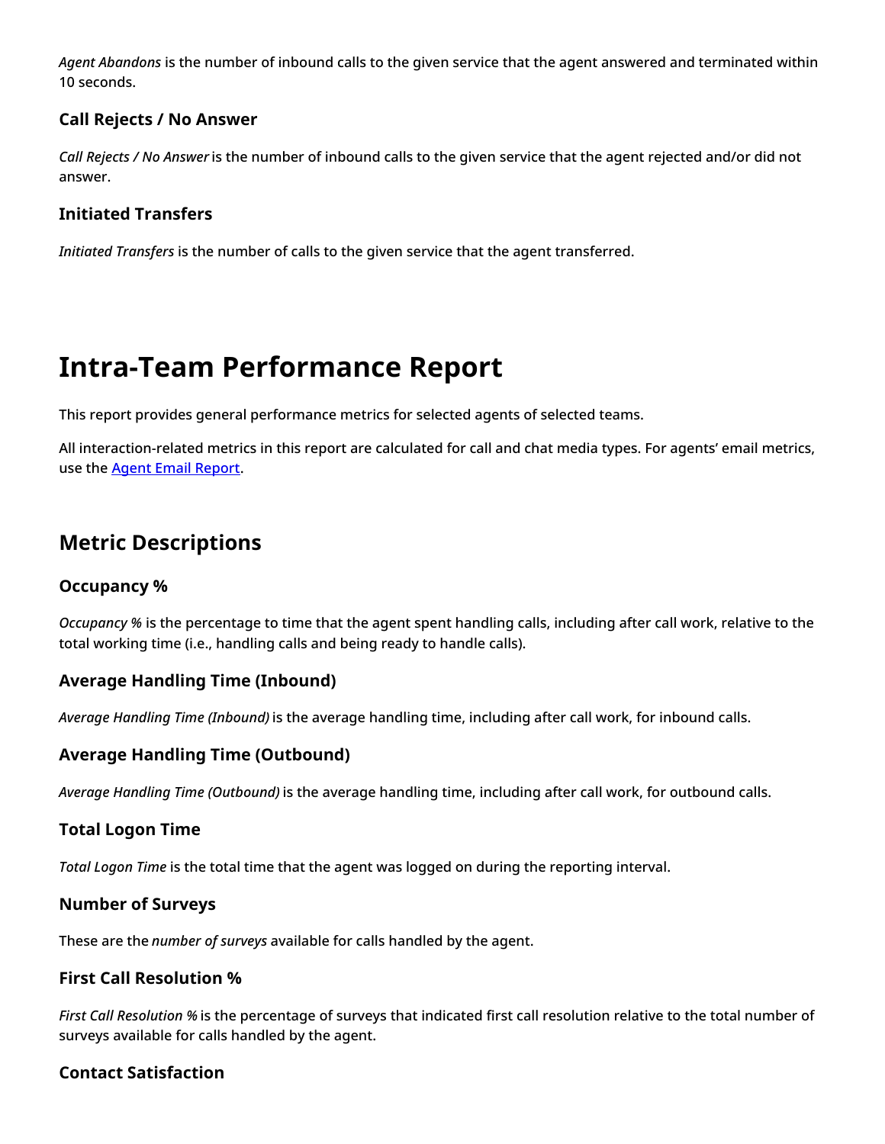*Agent Abandons* is the number of inbound calls to the given service that the agent answered and terminated within 10 seconds.

## <span id="page-19-0"></span>**Call Rejects / No Answer**

*Call Rejects / No Answer* is the number of inbound calls to the given service that the agent rejected and/or did not answer.

## <span id="page-19-1"></span>**Initiated Transfers**

*Initiated Transfers* is the number of calls to the given service that the agent transferred.

# <span id="page-19-2"></span>**Intra-Team Performance Report**

This report provides general performance metrics for selected agents of selected teams.

All interaction-related metrics in this report are calculated for call and chat media types. For agents' email metrics, use the **Agent Email [Report](https://help.brightpattern.com/5.3:Reporting-reference-guide/GeneralInformationAboutAggregateReports/?action=html-localimages-export#topic_reporting-reference-guide.2Fagentemailreport)**.

## <span id="page-19-3"></span>**Metric Descriptions**

## <span id="page-19-4"></span>**Occupancy %**

*Occupancy %* is the percentage to time that the agent spent handling calls, including after call work, relative to the total working time (i.e., handling calls and being ready to handle calls).

## <span id="page-19-5"></span>**Average Handling Time (Inbound)**

*Average Handling Time (Inbound)* is the average handling time, including after call work, for inbound calls.

## <span id="page-19-6"></span>**Average Handling Time (Outbound)**

*Average Handling Time (Outbound)* is the average handling time, including after call work, for outbound calls.

## <span id="page-19-7"></span>**Total Logon Time**

*Total Logon Time* is the total time that the agent was logged on during the reporting interval.

## <span id="page-19-8"></span>**Number of Surveys**

These are the *number of surveys* available for calls handled by the agent.

## <span id="page-19-9"></span>**First Call Resolution %**

*First Call Resolution %* is the percentage of surveys that indicated first call resolution relative to the total number of surveys available for calls handled by the agent.

## <span id="page-19-10"></span>**Contact Satisfaction**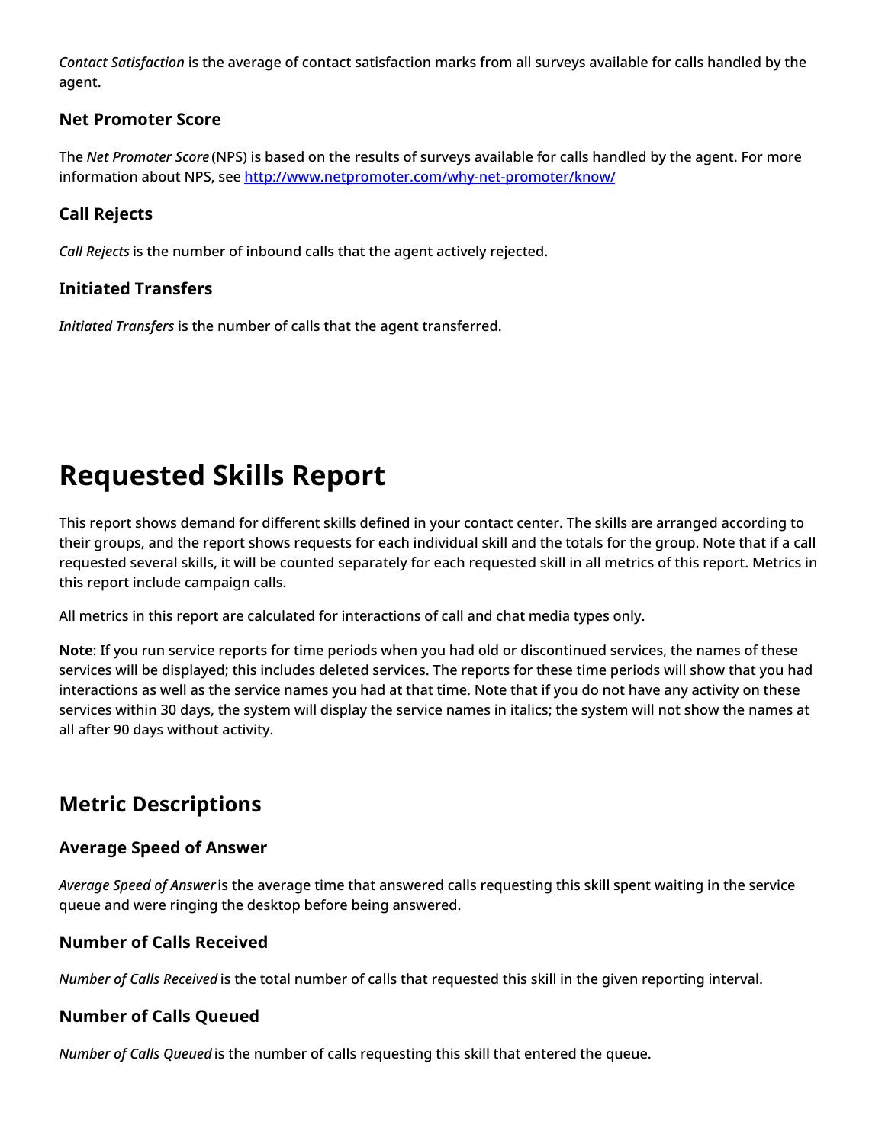*Contact Satisfaction* is the average of contact satisfaction marks from all surveys available for calls handled by the agent.

### <span id="page-20-0"></span>**Net Promoter Score**

The *Net Promoter Score* (NPS) is based on the results of surveys available for calls handled by the agent. For more information about NPS, see <http://www.netpromoter.com/why-net-promoter/know/>

## <span id="page-20-1"></span>**Call Rejects**

*Call Rejects* is the number of inbound calls that the agent actively rejected.

## <span id="page-20-2"></span>**Initiated Transfers**

*Initiated Transfers* is the number of calls that the agent transferred.

# <span id="page-20-3"></span>**Requested Skills Report**

This report shows demand for different skills defined in your contact center. The skills are arranged according to their groups, and the report shows requests for each individual skill and the totals for the group. Note that if a call requested several skills, it will be counted separately for each requested skill in all metrics of this report. Metrics in this report include campaign calls.

All metrics in this report are calculated for interactions of call and chat media types only.

**Note**: If you run service reports for time periods when you had old or discontinued services, the names of these services will be displayed; this includes deleted services. The reports for these time periods will show that you had interactions as well as the service names you had at that time. Note that if you do not have any activity on these services within 30 days, the system will display the service names in italics; the system will not show the names at all after 90 days without activity.

## <span id="page-20-4"></span>**Metric Descriptions**

## <span id="page-20-5"></span>**Average Speed of Answer**

*Average Speed of Answer* is the average time that answered calls requesting this skill spent waiting in the service queue and were ringing the desktop before being answered.

## <span id="page-20-6"></span>**Number of Calls Received**

*Number of Calls Received* is the total number of calls that requested this skill in the given reporting interval.

## <span id="page-20-7"></span>**Number of Calls Queued**

*Number of Calls Queued* is the number of calls requesting this skill that entered the queue.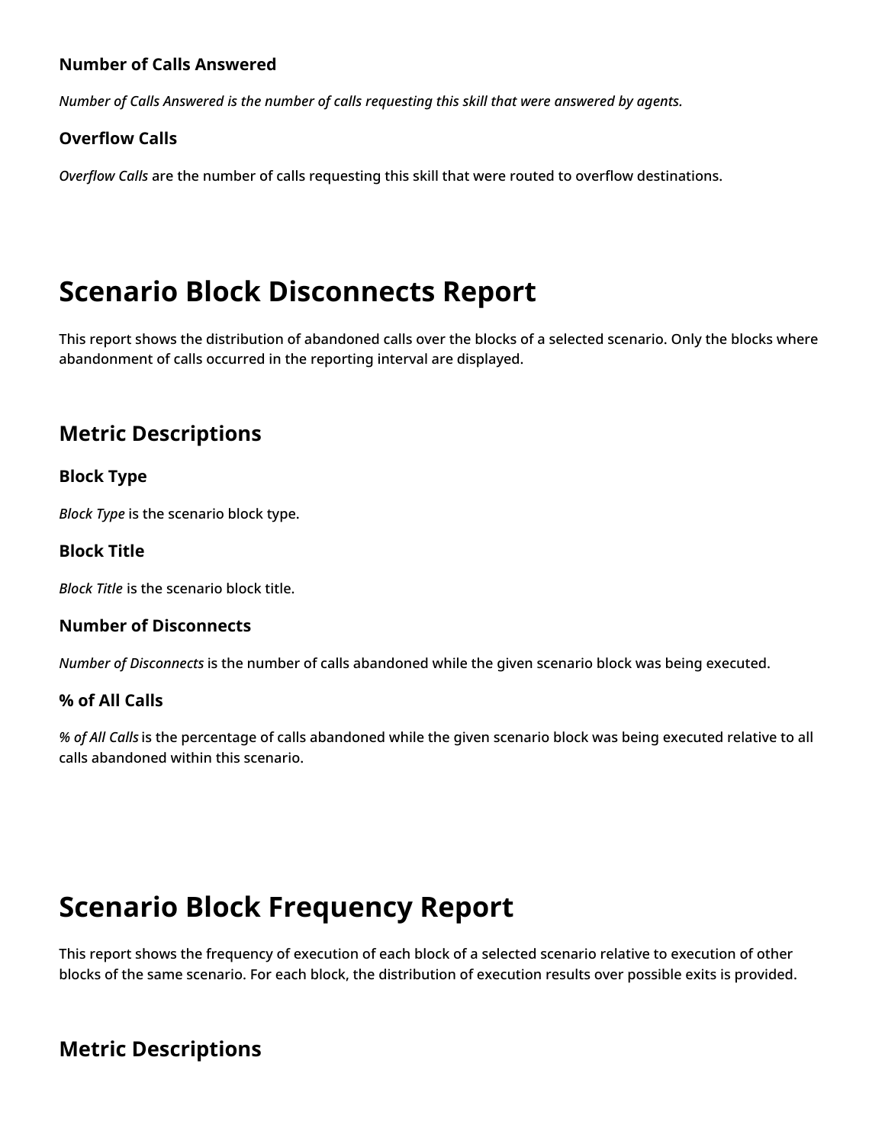## <span id="page-21-0"></span>**Number of Calls Answered**

*Number of Calls Answered is the number of calls requesting this skill that were answered by agents.*

### <span id="page-21-1"></span>**Overflow Calls**

*Overflow Calls* are the number of calls requesting this skill that were routed to overflow destinations.

# <span id="page-21-2"></span>**Scenario Block Disconnects Report**

This report shows the distribution of abandoned calls over the blocks of a selected scenario. Only the blocks where abandonment of calls occurred in the reporting interval are displayed.

## <span id="page-21-3"></span>**Metric Descriptions**

### <span id="page-21-4"></span>**Block Type**

*Block Type* is the scenario block type.

#### <span id="page-21-5"></span>**Block Title**

*Block Title* is the scenario block title.

#### <span id="page-21-6"></span>**Number of Disconnects**

*Number of Disconnects* is the number of calls abandoned while the given scenario block was being executed.

#### <span id="page-21-7"></span>**% of All Calls**

*% of All Calls* is the percentage of calls abandoned while the given scenario block was being executed relative to all calls abandoned within this scenario.

## <span id="page-21-8"></span>**Scenario Block Frequency Report**

This report shows the frequency of execution of each block of a selected scenario relative to execution of other blocks of the same scenario. For each block, the distribution of execution results over possible exits is provided.

## <span id="page-21-9"></span>**Metric Descriptions**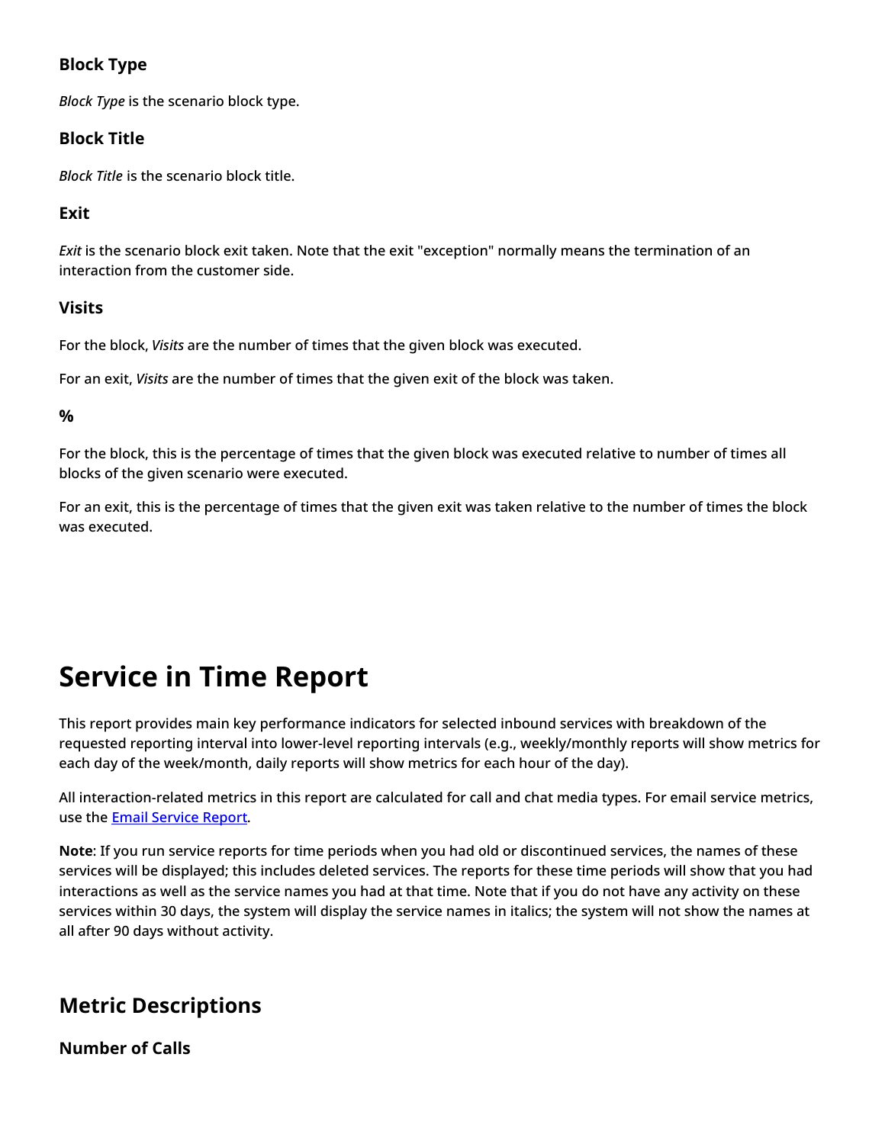## <span id="page-22-0"></span>**Block Type**

*Block Type* is the scenario block type.

## <span id="page-22-1"></span>**Block Title**

*Block Title* is the scenario block title.

## <span id="page-22-2"></span>**Exit**

*Exit* is the scenario block exit taken. Note that the exit "exception" normally means the termination of an interaction from the customer side.

## <span id="page-22-3"></span>**Visits**

For the block, *Visits* are the number of times that the given block was executed.

For an exit, *Visits* are the number of times that the given exit of the block was taken.

<span id="page-22-4"></span>**%**

For the block, this is the percentage of times that the given block was executed relative to number of times all blocks of the given scenario were executed.

For an exit, this is the percentage of times that the given exit was taken relative to the number of times the block was executed.

# <span id="page-22-5"></span>**Service in Time Report**

This report provides main key performance indicators for selected inbound services with breakdown of the requested reporting interval into lower-level reporting intervals (e.g., weekly/monthly reports will show metrics for each day of the week/month, daily reports will show metrics for each hour of the day).

All interaction-related metrics in this report are calculated for call and chat media types. For email service metrics, use the **Email [Service](https://help.brightpattern.com/5.3:Reporting-reference-guide/GeneralInformationAboutAggregateReports/?action=html-localimages-export#topic_reporting-reference-guide.2Femailservicereport) Report**.

**Note**: If you run service reports for time periods when you had old or discontinued services, the names of these services will be displayed; this includes deleted services. The reports for these time periods will show that you had interactions as well as the service names you had at that time. Note that if you do not have any activity on these services within 30 days, the system will display the service names in italics; the system will not show the names at all after 90 days without activity.

## <span id="page-22-6"></span>**Metric Descriptions**

<span id="page-22-7"></span>**Number of Calls**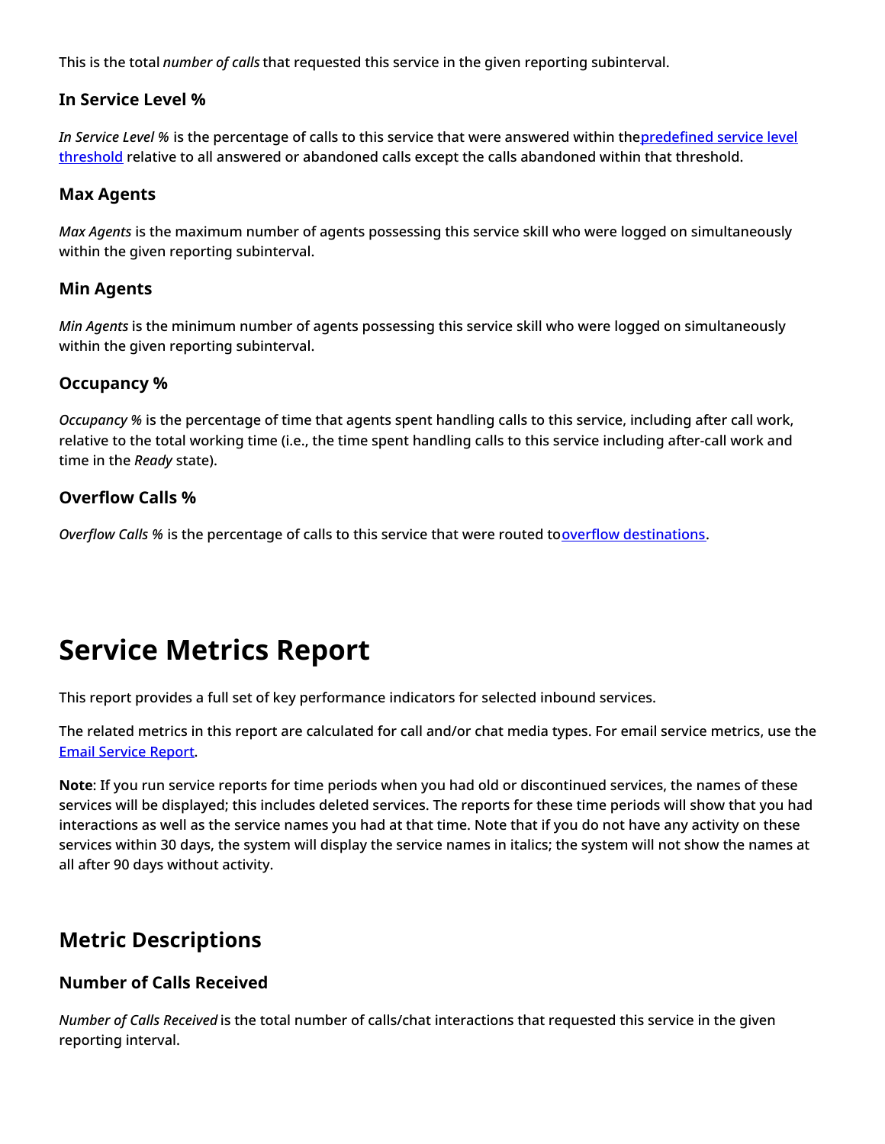This is the total *number of calls* that requested this service in the given reporting subinterval.

### <span id="page-23-0"></span>**In Service Level %**

*In Service Level %* is the percentage of calls to this service that were answered within [thepredefined](https://help.brightpattern.com/5.3:Reporting-reference-guide/GeneralInformationAboutAggregateReports/?action=html-localimages-export#topic_contact-center-administrator-guide.2Fserviceleveltab) service level threshold relative to all answered or abandoned calls except the calls abandoned within that threshold.

### <span id="page-23-1"></span>**Max Agents**

*Max Agents* is the maximum number of agents possessing this service skill who were logged on simultaneously within the given reporting subinterval.

### <span id="page-23-2"></span>**Min Agents**

*Min Agents* is the minimum number of agents possessing this service skill who were logged on simultaneously within the given reporting subinterval.

### <span id="page-23-3"></span>**Occupancy %**

*Occupancy %* is the percentage of time that agents spent handling calls to this service, including after call work, relative to the total working time (i.e., the time spent handling calls to this service including after-call work and time in the *Ready* state).

## <span id="page-23-4"></span>**Overflow Calls %**

*Overflow Calls* % is the percentage of calls to this service that were routed to overflow [destinations](https://help.brightpattern.com/5.3:Reporting-reference-guide/GeneralInformationAboutAggregateReports/?action=html-localimages-export#topic_scenario-builder-reference-guide.2Ffindagent).

# <span id="page-23-5"></span>**Service Metrics Report**

This report provides a full set of key performance indicators for selected inbound services.

The related metrics in this report are calculated for call and/or chat media types. For email service metrics, use the Email [Service](https://help.brightpattern.com/5.3:Reporting-reference-guide/GeneralInformationAboutAggregateReports/?action=html-localimages-export#topic_reporting-reference-guide.2Femailservicereport) Report.

**Note**: If you run service reports for time periods when you had old or discontinued services, the names of these services will be displayed; this includes deleted services. The reports for these time periods will show that you had interactions as well as the service names you had at that time. Note that if you do not have any activity on these services within 30 days, the system will display the service names in italics; the system will not show the names at all after 90 days without activity.

## <span id="page-23-6"></span>**Metric Descriptions**

## <span id="page-23-7"></span>**Number of Calls Received**

*Number of Calls Received* is the total number of calls/chat interactions that requested this service in the given reporting interval.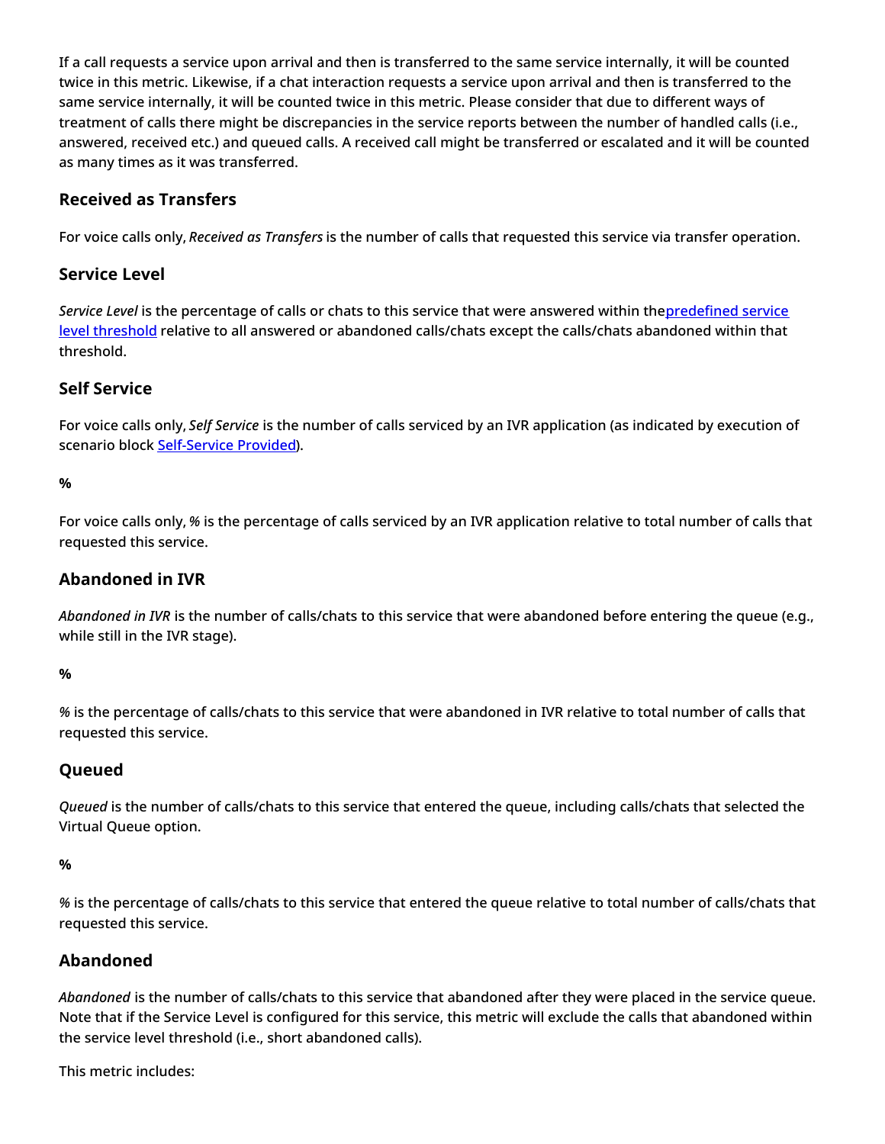If a call requests a service upon arrival and then is transferred to the same service internally, it will be counted twice in this metric. Likewise, if a chat interaction requests a service upon arrival and then is transferred to the same service internally, it will be counted twice in this metric. Please consider that due to different ways of treatment of calls there might be discrepancies in the service reports between the number of handled calls (i.e., answered, received etc.) and queued calls. A received call might be transferred or escalated and it will be counted as many times as it was transferred.

## <span id="page-24-0"></span>**Received as Transfers**

For voice calls only, *Received as Transfers* is the number of calls that requested this service via transfer operation.

## <span id="page-24-1"></span>**Service Level**

*Service Level* is the percentage of calls or chats to this service that were answered within [thepredefined](https://help.brightpattern.com/5.3:Reporting-reference-guide/GeneralInformationAboutAggregateReports/?action=html-localimages-export#topic_contact-center-administrator-guide.2Fserviceleveltab) service level threshold relative to all answered or abandoned calls/chats except the calls/chats abandoned within that threshold.

## <span id="page-24-2"></span>**Self Service**

For voice calls only, *Self Service* is the number of calls serviced by an IVR application (as indicated by execution of scenario block [Self-Service](https://help.brightpattern.com/5.3:Reporting-reference-guide/GeneralInformationAboutAggregateReports/?action=html-localimages-export#topic_scenario-builder-reference-guide.2Fself-serviceprovided) Provided).

#### <span id="page-24-3"></span>**%**

For voice calls only, *%* is the percentage of calls serviced by an IVR application relative to total number of calls that requested this service.

### <span id="page-24-4"></span>**Abandoned in IVR**

*Abandoned in IVR* is the number of calls/chats to this service that were abandoned before entering the queue (e.g., while still in the IVR stage).

### <span id="page-24-5"></span>**%**

*%* is the percentage of calls/chats to this service that were abandoned in IVR relative to total number of calls that requested this service.

## <span id="page-24-6"></span>**Queued**

*Queued* is the number of calls/chats to this service that entered the queue, including calls/chats that selected the Virtual Queue option.

#### <span id="page-24-7"></span>**%**

*%* is the percentage of calls/chats to this service that entered the queue relative to total number of calls/chats that requested this service.

## <span id="page-24-8"></span>**Abandoned**

*Abandoned* is the number of calls/chats to this service that abandoned after they were placed in the service queue. Note that if the Service Level is configured for this service, this metric will exclude the calls that abandoned within the service level threshold (i.e., short abandoned calls).

This metric includes: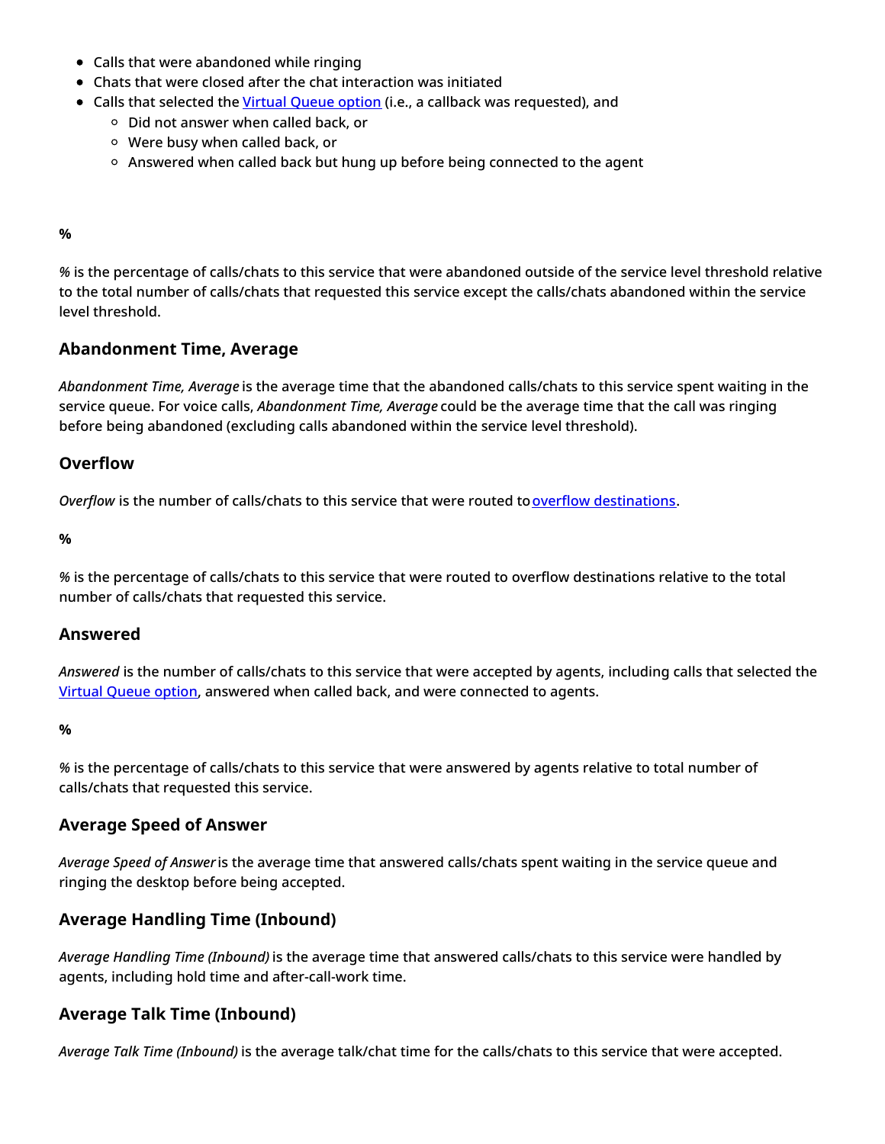- Calls that were abandoned while ringing
- Chats that were closed after the chat interaction was initiated
- Calls that selected the Virtual [Queue](https://help.brightpattern.com/5.3:Reporting-reference-guide/GeneralInformationAboutAggregateReports/?action=html-localimages-export#topic_scenario-builder-reference-guide.2Ffindagent) option (i.e., a callback was requested), and
	- $\circ$  Did not answer when called back, or
	- Were busy when called back, or
	- o Answered when called back but hung up before being connected to the agent

#### <span id="page-25-0"></span>**%**

*%* is the percentage of calls/chats to this service that were abandoned outside of the service level threshold relative to the total number of calls/chats that requested this service except the calls/chats abandoned within the service level threshold.

### <span id="page-25-1"></span>**Abandonment Time, Average**

*Abandonment Time, Average* is the average time that the abandoned calls/chats to this service spent waiting in the service queue. For voice calls, *Abandonment Time, Average* could be the average time that the call was ringing before being abandoned (excluding calls abandoned within the service level threshold).

#### <span id="page-25-2"></span>**Overflow**

*Overflow* is the number of calls/chats to this service that were routed to overflow [destinations](https://help.brightpattern.com/5.3:Reporting-reference-guide/GeneralInformationAboutAggregateReports/?action=html-localimages-export#topic_scenario-builder-reference-guide.2Ffindagent).

<span id="page-25-3"></span>**%**

*%* is the percentage of calls/chats to this service that were routed to overflow destinations relative to the total number of calls/chats that requested this service.

#### <span id="page-25-4"></span>**Answered**

*Answered* is the number of calls/chats to this service that were accepted by agents, including calls that selected the Virtual [Queue](https://help.brightpattern.com/5.3:Reporting-reference-guide/GeneralInformationAboutAggregateReports/?action=html-localimages-export#topic_scenario-builder-reference-guide.2Ffindagent) option, answered when called back, and were connected to agents.

#### <span id="page-25-5"></span>**%**

*%* is the percentage of calls/chats to this service that were answered by agents relative to total number of calls/chats that requested this service.

### <span id="page-25-6"></span>**Average Speed of Answer**

*Average Speed of Answer* is the average time that answered calls/chats spent waiting in the service queue and ringing the desktop before being accepted.

### <span id="page-25-7"></span>**Average Handling Time (Inbound)**

*Average Handling Time (Inbound)* is the average time that answered calls/chats to this service were handled by agents, including hold time and after-call-work time.

### <span id="page-25-8"></span>**Average Talk Time (Inbound)**

*Average Talk Time (Inbound)* is the average talk/chat time for the calls/chats to this service that were accepted.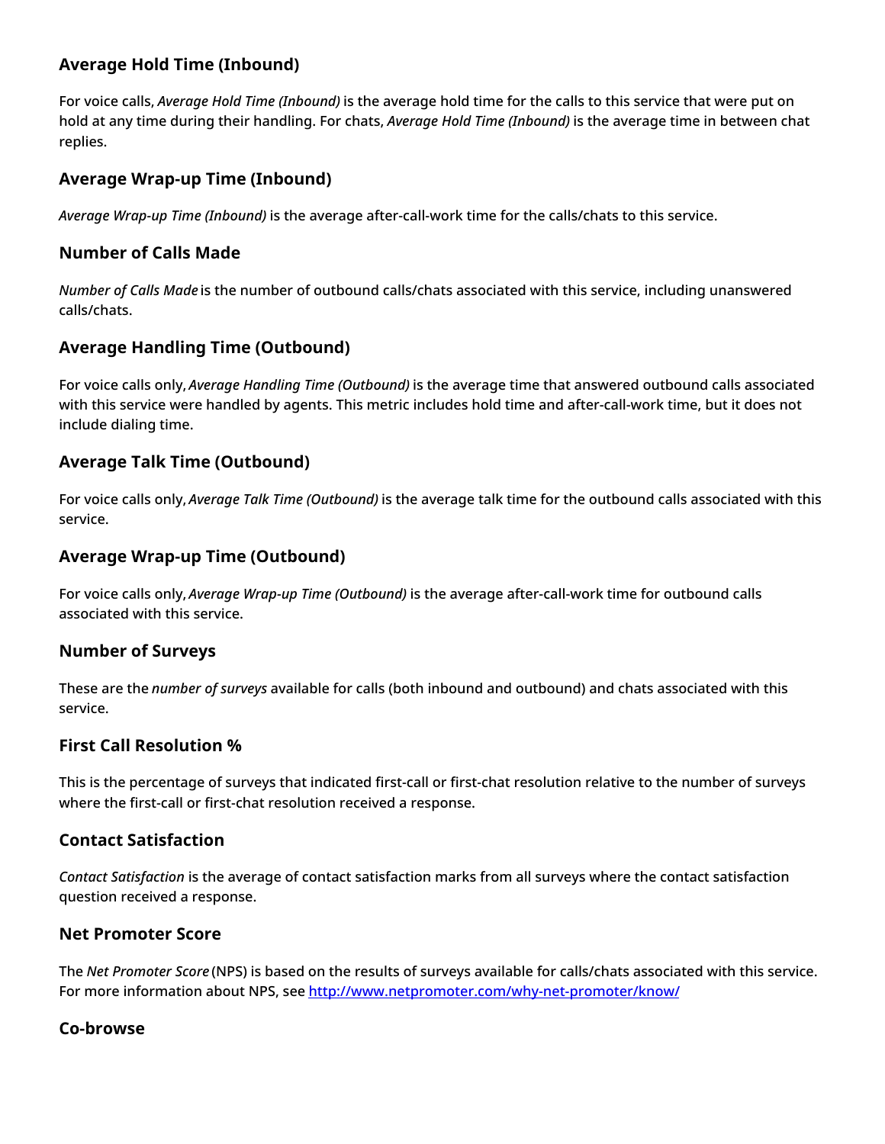## <span id="page-26-0"></span>**Average Hold Time (Inbound)**

For voice calls, *Average Hold Time (Inbound)* is the average hold time for the calls to this service that were put on hold at any time during their handling. For chats, *Average Hold Time (Inbound)* is the average time in between chat replies.

## <span id="page-26-1"></span>**Average Wrap-up Time (Inbound)**

*Average Wrap-up Time (Inbound)* is the average after-call-work time for the calls/chats to this service.

### <span id="page-26-2"></span>**Number of Calls Made**

*Number of Calls Made* is the number of outbound calls/chats associated with this service, including unanswered calls/chats.

## <span id="page-26-3"></span>**Average Handling Time (Outbound)**

For voice calls only, *Average Handling Time (Outbound)* is the average time that answered outbound calls associated with this service were handled by agents. This metric includes hold time and after-call-work time, but it does not include dialing time.

## <span id="page-26-4"></span>**Average Talk Time (Outbound)**

For voice calls only, *Average Talk Time (Outbound)* is the average talk time for the outbound calls associated with this service.

## <span id="page-26-5"></span>**Average Wrap-up Time (Outbound)**

For voice calls only, *Average Wrap-up Time (Outbound)* is the average after-call-work time for outbound calls associated with this service.

## <span id="page-26-6"></span>**Number of Surveys**

These are the *number of surveys* available for calls (both inbound and outbound) and chats associated with this service.

## <span id="page-26-7"></span>**First Call Resolution %**

This is the percentage of surveys that indicated first-call or first-chat resolution relative to the number of surveys where the first-call or first-chat resolution received a response.

## <span id="page-26-8"></span>**Contact Satisfaction**

*Contact Satisfaction* is the average of contact satisfaction marks from all surveys where the contact satisfaction question received a response.

## <span id="page-26-9"></span>**Net Promoter Score**

The *Net Promoter Score* (NPS) is based on the results of surveys available for calls/chats associated with this service. For more information about NPS, see <http://www.netpromoter.com/why-net-promoter/know/>

## <span id="page-26-10"></span>**Co-browse**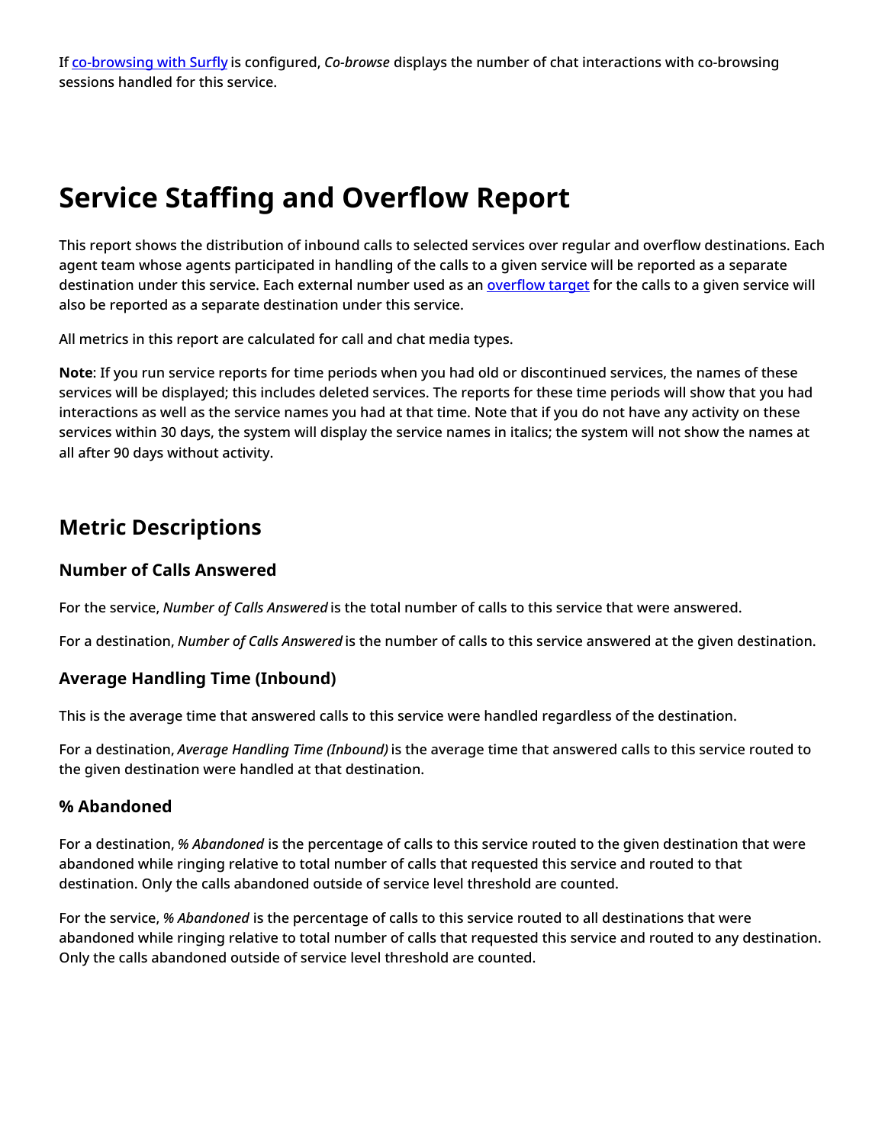If [co-browsing](https://help.brightpattern.com/5.3:Reporting-reference-guide/GeneralInformationAboutAggregateReports/?action=html-localimages-export#topic_surfly-integration-guide.2Fabout) with Surfly is configured, *Co-browse* displays the number of chat interactions with co-browsing sessions handled for this service.

# <span id="page-27-0"></span>**Service Staffing and Overflow Report**

This report shows the distribution of inbound calls to selected services over regular and overflow destinations. Each agent team whose agents participated in handling of the calls to a given service will be reported as a separate destination under this service. Each external number used as an **[overflow](https://help.brightpattern.com/5.3:Reporting-reference-guide/GeneralInformationAboutAggregateReports/?action=html-localimages-export#topic_scenario-builder-reference-guide.2Ffindagent) target** for the calls to a given service will also be reported as a separate destination under this service.

All metrics in this report are calculated for call and chat media types.

**Note**: If you run service reports for time periods when you had old or discontinued services, the names of these services will be displayed; this includes deleted services. The reports for these time periods will show that you had interactions as well as the service names you had at that time. Note that if you do not have any activity on these services within 30 days, the system will display the service names in italics; the system will not show the names at all after 90 days without activity.

## <span id="page-27-1"></span>**Metric Descriptions**

## <span id="page-27-2"></span>**Number of Calls Answered**

For the service, *Number of Calls Answered* is the total number of calls to this service that were answered.

For a destination, *Number of Calls Answered* is the number of calls to this service answered at the given destination.

## <span id="page-27-3"></span>**Average Handling Time (Inbound)**

This is the average time that answered calls to this service were handled regardless of the destination.

For a destination, *Average Handling Time (Inbound)* is the average time that answered calls to this service routed to the given destination were handled at that destination.

### <span id="page-27-4"></span>**% Abandoned**

For a destination, *% Abandoned* is the percentage of calls to this service routed to the given destination that were abandoned while ringing relative to total number of calls that requested this service and routed to that destination. Only the calls abandoned outside of service level threshold are counted.

For the service, *% Abandoned* is the percentage of calls to this service routed to all destinations that were abandoned while ringing relative to total number of calls that requested this service and routed to any destination. Only the calls abandoned outside of service level threshold are counted.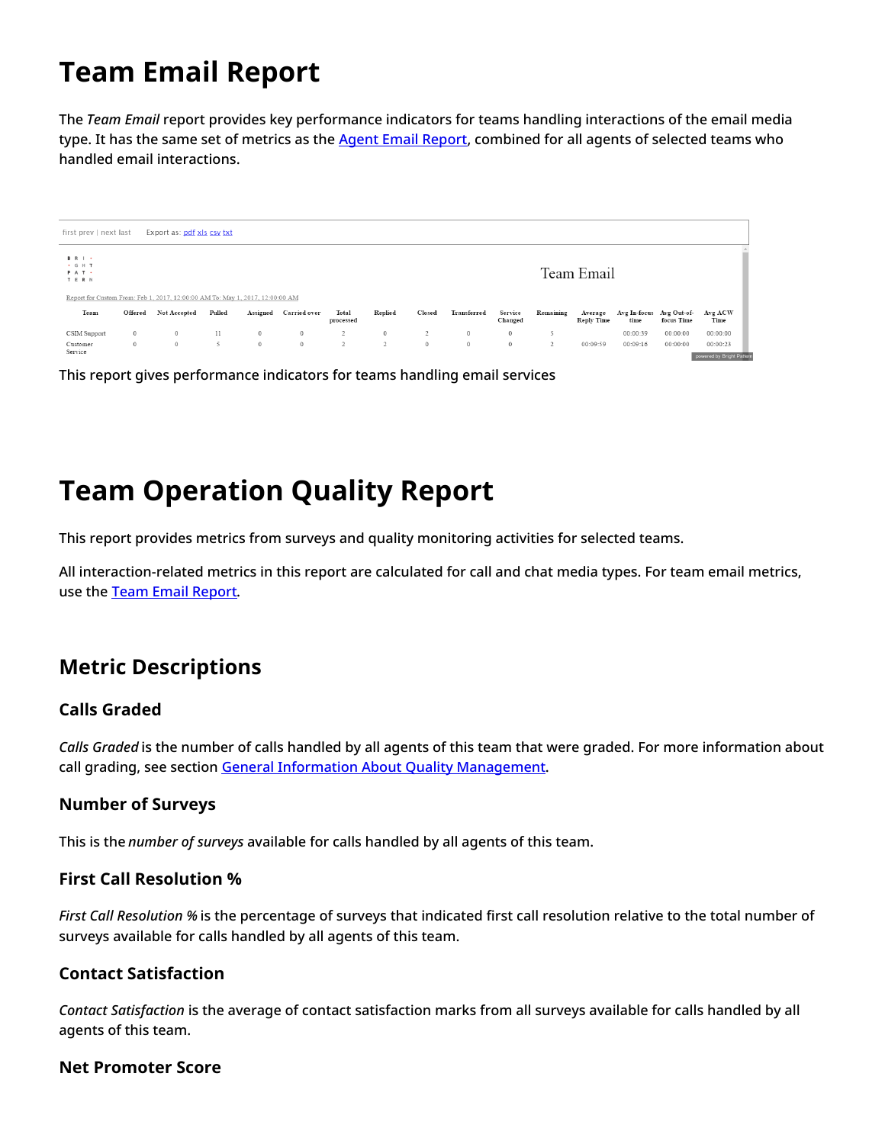# <span id="page-28-0"></span>**Team Email Report**

The *Team Email* report provides key performance indicators for teams handling interactions of the email media type. It has the same set of metrics as the Agent Email [Report](https://help.brightpattern.com/5.3:Reporting-reference-guide/GeneralInformationAboutAggregateReports/?action=html-localimages-export#topic_reporting-reference-guide.2Fagentemailreport), combined for all agents of selected teams who handled email interactions.

| first prev   next last                                                        |         | Export as: pdf xls csv txt |        |              |                     |                    |                |                |             |                    |                |                              |                      |                           |                                       |
|-------------------------------------------------------------------------------|---------|----------------------------|--------|--------------|---------------------|--------------------|----------------|----------------|-------------|--------------------|----------------|------------------------------|----------------------|---------------------------|---------------------------------------|
| <b>BRI</b><br>. G H T<br>PAT .<br>TERN                                        |         |                            |        |              |                     |                    |                |                |             |                    |                | Team Email                   |                      |                           |                                       |
| Report for Custom From: Feb 1, 2017, 12:00:00 AM To: May 1, 2017, 12:00:00 AM |         |                            |        |              |                     |                    |                |                |             |                    |                |                              |                      |                           |                                       |
| Team                                                                          | Offered | Not Accepted               | Pulled | Assigned     | <b>Carried</b> over | Total<br>processed | Replied        | Closed         | Transferred | Service<br>Changed | Remaining      | Average<br><b>Reply Time</b> | Avg In-focus<br>time | Avg Out-of-<br>focus Time | Avg ACW<br>Time                       |
| CSIM Support                                                                  | $\circ$ | $\mathbf{0}$               | 11     | $\mathbf{0}$ | $\circ$             | 2                  | $\circ$        | $\overline{2}$ | $\circ$     | $\circ$            |                |                              | 00:00:39             | 00:00:00                  | 00:00:00                              |
| Customer<br>Service                                                           | $\circ$ | $\circ$                    | 5      | $\circ$      | $\circ$             | 2                  | $\overline{2}$ | $\circ$        | $\circ$     | $\circ$            | $\overline{2}$ | 00:09:59                     | 00:09:16             | 00:00:00                  | 00:00:23<br>powered by Bright Pattern |

This report gives performance indicators for teams handling email services

# <span id="page-28-1"></span>**Team Operation Quality Report**

This report provides metrics from surveys and quality monitoring activities for selected teams.

All interaction-related metrics in this report are calculated for call and chat media types. For team email metrics, use the Team Email [Report.](https://help.brightpattern.com/5.3:Reporting-reference-guide/GeneralInformationAboutAggregateReports/?action=html-localimages-export#topic_reporting-reference-guide.2Fteamemailreport)

## <span id="page-28-2"></span>**Metric Descriptions**

## <span id="page-28-3"></span>**Calls Graded**

*Calls Graded* is the number of calls handled by all agents of this team that were graded. For more information about call grading, see section General Information About Quality [Management](https://help.brightpattern.com/5.3:Reporting-reference-guide/GeneralInformationAboutAggregateReports/?action=html-localimages-export#topic_reporting-reference-guide.2Fgeneralinformationaboutqualitymanagement).

## <span id="page-28-4"></span>**Number of Surveys**

This is the *number of surveys* available for calls handled by all agents of this team.

### <span id="page-28-5"></span>**First Call Resolution %**

*First Call Resolution %* is the percentage of surveys that indicated first call resolution relative to the total number of surveys available for calls handled by all agents of this team.

### <span id="page-28-6"></span>**Contact Satisfaction**

*Contact Satisfaction* is the average of contact satisfaction marks from all surveys available for calls handled by all agents of this team.

#### <span id="page-28-7"></span>**Net Promoter Score**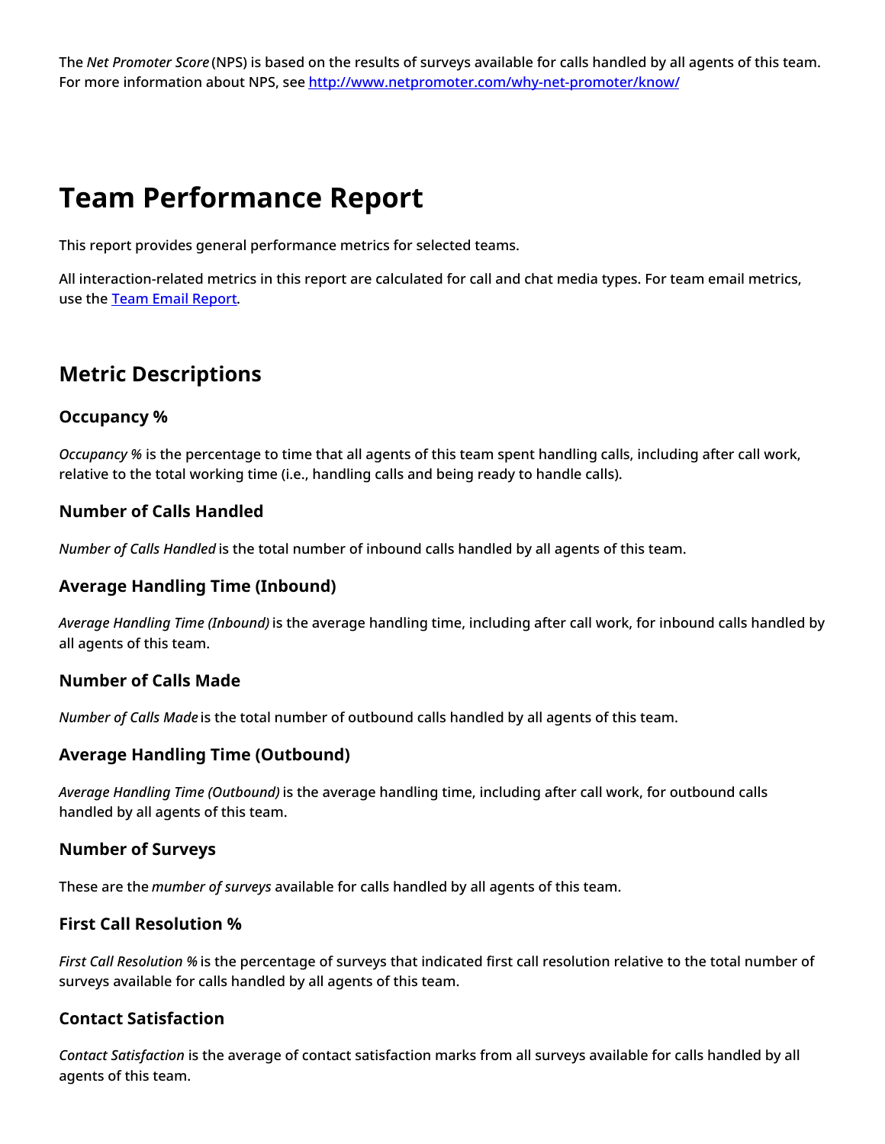The *Net Promoter Score* (NPS) is based on the results of surveys available for calls handled by all agents of this team. For more information about NPS, see <http://www.netpromoter.com/why-net-promoter/know/>

# <span id="page-29-0"></span>**Team Performance Report**

This report provides general performance metrics for selected teams.

All interaction-related metrics in this report are calculated for call and chat media types. For team email metrics, use the Team Email [Report.](https://help.brightpattern.com/5.3:Reporting-reference-guide/GeneralInformationAboutAggregateReports/?action=html-localimages-export#topic_reporting-reference-guide.2Fteamemailreport)

## <span id="page-29-1"></span>**Metric Descriptions**

## <span id="page-29-2"></span>**Occupancy %**

*Occupancy %* is the percentage to time that all agents of this team spent handling calls, including after call work, relative to the total working time (i.e., handling calls and being ready to handle calls).

## <span id="page-29-3"></span>**Number of Calls Handled**

*Number of Calls Handled* is the total number of inbound calls handled by all agents of this team.

## <span id="page-29-4"></span>**Average Handling Time (Inbound)**

*Average Handling Time (Inbound)* is the average handling time, including after call work, for inbound calls handled by all agents of this team.

### <span id="page-29-5"></span>**Number of Calls Made**

*Number of Calls Made* is the total number of outbound calls handled by all agents of this team.

## <span id="page-29-6"></span>**Average Handling Time (Outbound)**

*Average Handling Time (Outbound)* is the average handling time, including after call work, for outbound calls handled by all agents of this team.

### <span id="page-29-7"></span>**Number of Surveys**

These are the *mumber of surveys* available for calls handled by all agents of this team.

### <span id="page-29-8"></span>**First Call Resolution %**

*First Call Resolution %* is the percentage of surveys that indicated first call resolution relative to the total number of surveys available for calls handled by all agents of this team.

### <span id="page-29-9"></span>**Contact Satisfaction**

*Contact Satisfaction* is the average of contact satisfaction marks from all surveys available for calls handled by all agents of this team.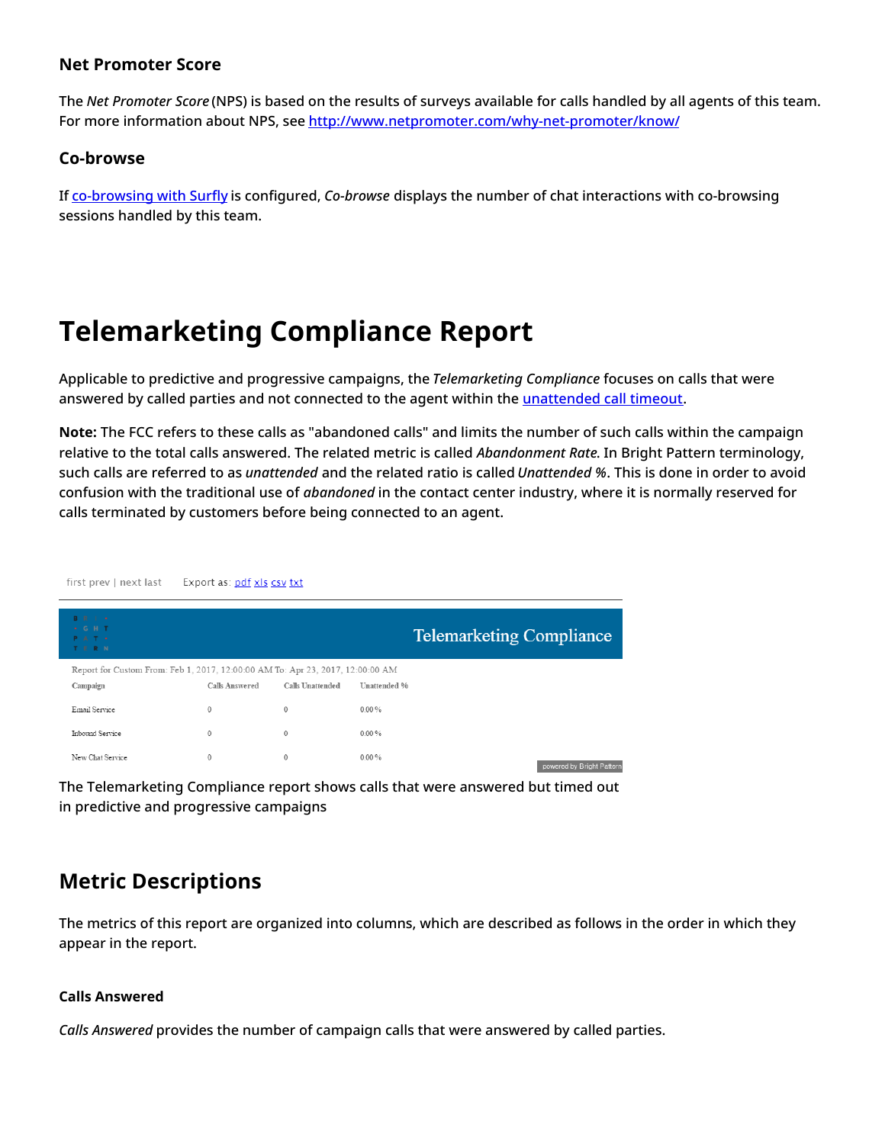### <span id="page-30-0"></span>**Net Promoter Score**

The *Net Promoter Score* (NPS) is based on the results of surveys available for calls handled by all agents of this team. For more information about NPS, see <http://www.netpromoter.com/why-net-promoter/know/>

### <span id="page-30-1"></span>**Co-browse**

If [co-browsing](https://help.brightpattern.com/5.3:Reporting-reference-guide/GeneralInformationAboutAggregateReports/?action=html-localimages-export#topic_surfly-integration-guide.2Fabout) with Surfly is configured, *Co-browse* displays the number of chat interactions with co-browsing sessions handled by this team.

# <span id="page-30-2"></span>**Telemarketing Compliance Report**

Applicable to predictive and progressive campaigns, the *Telemarketing Compliance* focuses on calls that were answered by called parties and not connected to the agent within the *[unattended](https://help.brightpattern.com/5.3:Reporting-reference-guide/GeneralInformationAboutAggregateReports/?action=html-localimages-export#topic_contact-center-administrator-guide.2Foutbound-general) call timeout*.

**Note:** The FCC refers to these calls as "abandoned calls" and limits the number of such calls within the campaign relative to the total calls answered. The related metric is called *Abandonment Rate*. In Bright Pattern terminology, such calls are referred to as *unattended* and the related ratio is called *Unattended %*. This is done in order to avoid confusion with the traditional use of *abandoned* in the contact center industry, where it is normally reserved for calls terminated by customers before being connected to an agent.

| first prev   next last                                                                     | Export as: pdf xls csy txt |                         |              |                                 |
|--------------------------------------------------------------------------------------------|----------------------------|-------------------------|--------------|---------------------------------|
| <b>B</b> R I +<br>$+ G H T$<br><b>PAT+</b><br>TERN                                         |                            |                         |              | <b>Telemarketing Compliance</b> |
| Report for Custom From: Feb 1, 2017, 12:00:00 AM To: Apr 23, 2017, 12:00:00 AM<br>Campaign | Calls Answered             | <b>Calls Unattended</b> | Unattended % |                                 |
| Email Service                                                                              | $\mathbf{0}$               | 0                       | $0.00\%$     |                                 |
| Inbound Service                                                                            | 0                          | $\circ$                 | $0.00\%$     |                                 |
| New Chat Service                                                                           | 0                          | $\circ$                 | $0.00\%$     | powered by Bright Pattern       |

The Telemarketing Compliance report shows calls that were answered but timed out in predictive and progressive campaigns

## <span id="page-30-3"></span>**Metric Descriptions**

The metrics of this report are organized into columns, which are described as follows in the order in which they appear in the report.

#### **Calls Answered**

*Calls Answered* provides the number of campaign calls that were answered by called parties.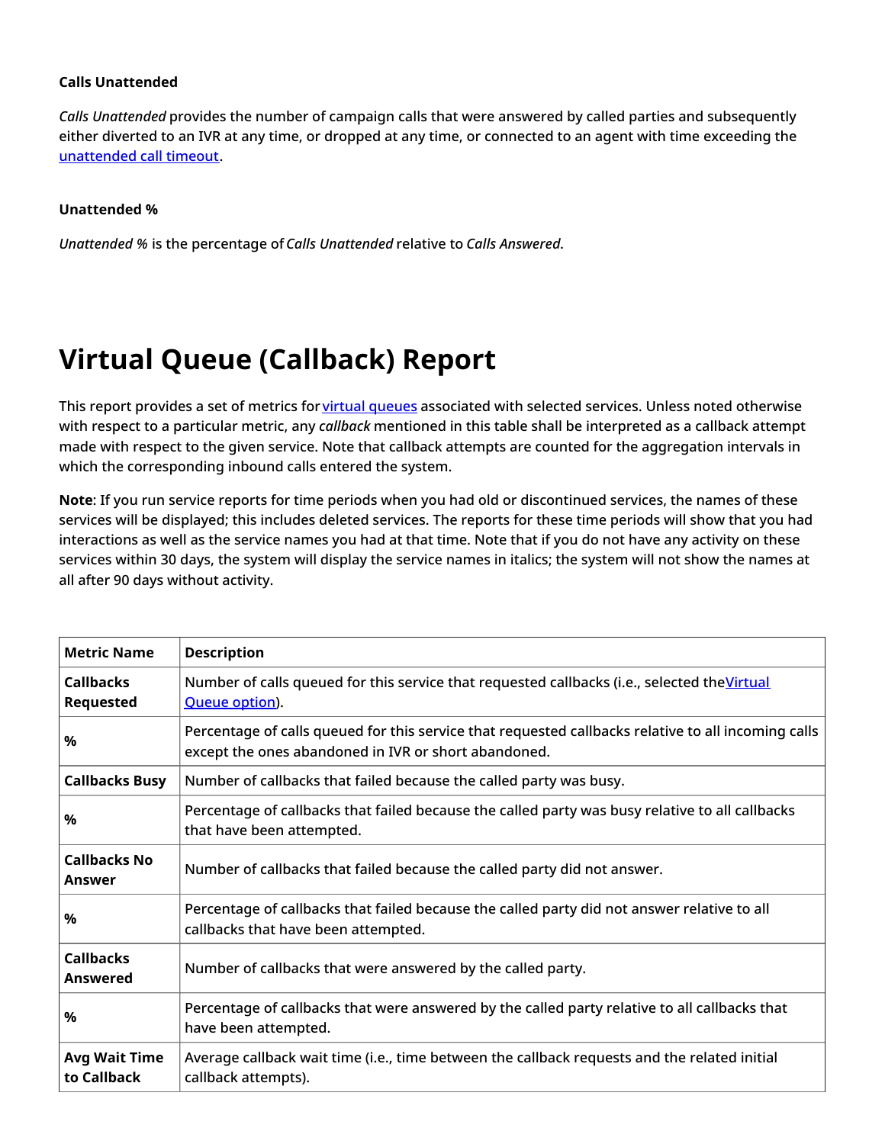#### **Calls Unattended**

*Calls Unattended* provides the number of campaign calls that were answered by called parties and subsequently either diverted to an IVR at any time, or dropped at any time, or connected to an agent with time exceeding the [unattended](https://help.brightpattern.com/5.3:Reporting-reference-guide/GeneralInformationAboutAggregateReports/?action=html-localimages-export#topic_contact-center-administrator-guide.2Foutbound-general) call timeout.

#### **Unattended %**

*Unattended %* is the percentage of*Calls Unattended* relative to *Calls Answered*.

# <span id="page-31-0"></span>**Virtual Queue (Callback) Report**

This report provides a set of metrics for virtual [queues](https://help.brightpattern.com/5.3:Reporting-reference-guide/GeneralInformationAboutAggregateReports/?action=html-localimages-export#topic_scenario-builder-reference-guide.2Ffindagent) associated with selected services. Unless noted otherwise with respect to a particular metric, any *callback* mentioned in this table shall be interpreted as a callback attempt made with respect to the given service. Note that callback attempts are counted for the aggregation intervals in which the corresponding inbound calls entered the system.

**Note**: If you run service reports for time periods when you had old or discontinued services, the names of these services will be displayed; this includes deleted services. The reports for these time periods will show that you had interactions as well as the service names you had at that time. Note that if you do not have any activity on these services within 30 days, the system will display the service names in italics; the system will not show the names at all after 90 days without activity.

| <b>Metric Name</b>                   | <b>Description</b>                                                                                                                                          |
|--------------------------------------|-------------------------------------------------------------------------------------------------------------------------------------------------------------|
| <b>Callbacks</b><br><b>Requested</b> | Number of calls queued for this service that requested callbacks (i.e., selected the Virtual<br>Queue option).                                              |
| $\%$                                 | Percentage of calls queued for this service that requested callbacks relative to all incoming calls<br>except the ones abandoned in IVR or short abandoned. |
| <b>Callbacks Busy</b>                | Number of callbacks that failed because the called party was busy.                                                                                          |
| $\%$                                 | Percentage of callbacks that failed because the called party was busy relative to all callbacks<br>that have been attempted.                                |
| <b>Callbacks No</b><br>Answer        | Number of callbacks that failed because the called party did not answer.                                                                                    |
| $\%$                                 | Percentage of callbacks that failed because the called party did not answer relative to all<br>callbacks that have been attempted.                          |
| <b>Callbacks</b><br><b>Answered</b>  | Number of callbacks that were answered by the called party.                                                                                                 |
| $\%$                                 | Percentage of callbacks that were answered by the called party relative to all callbacks that<br>have been attempted.                                       |
| <b>Avg Wait Time</b><br>to Callback  | Average callback wait time (i.e., time between the callback requests and the related initial<br>callback attempts).                                         |